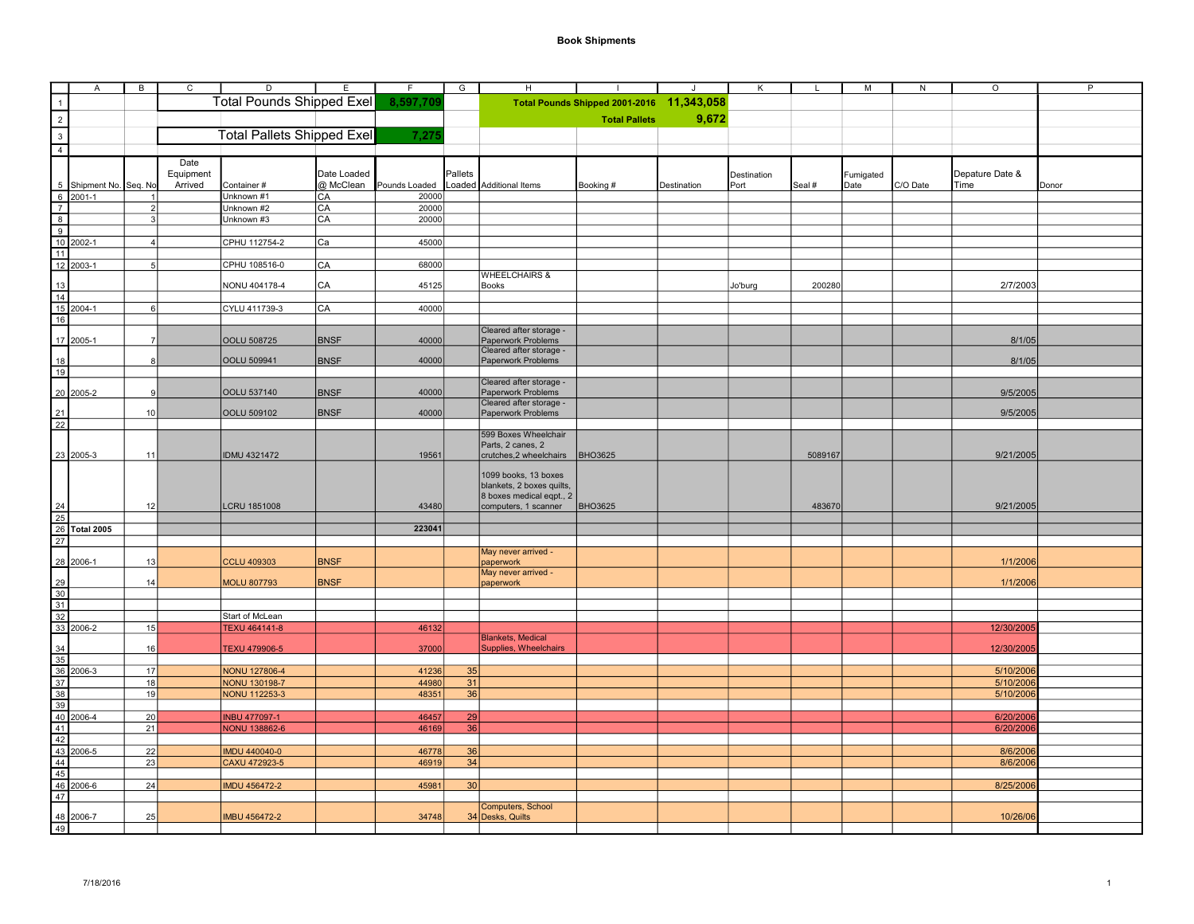|                                                                                       | $\mathsf{A}$                                                                                                                                                                                                                                 | B              | C         | $\overline{D}$                    | E           | F             | G       | H                                         |                                           | $\cdot$     | Κ           | L       | м         | N        | $\circ$         | P     |
|---------------------------------------------------------------------------------------|----------------------------------------------------------------------------------------------------------------------------------------------------------------------------------------------------------------------------------------------|----------------|-----------|-----------------------------------|-------------|---------------|---------|-------------------------------------------|-------------------------------------------|-------------|-------------|---------|-----------|----------|-----------------|-------|
|                                                                                       |                                                                                                                                                                                                                                              |                |           | <b>Total Pounds Shipped Exel</b>  |             | 8,597,709     |         |                                           | Total Pounds Shipped 2001-2016 11,343,058 |             |             |         |           |          |                 |       |
| $\begin{array}{c c}\n1 \\ 2 \\ 3 \\ 4\n\end{array}$                                   |                                                                                                                                                                                                                                              |                |           |                                   |             |               |         |                                           |                                           |             |             |         |           |          |                 |       |
|                                                                                       |                                                                                                                                                                                                                                              |                |           |                                   |             |               |         |                                           | <b>Total Pallets</b>                      | 9,672       |             |         |           |          |                 |       |
|                                                                                       |                                                                                                                                                                                                                                              |                |           | <b>Total Pallets Shipped Exel</b> |             | 7,27!         |         |                                           |                                           |             |             |         |           |          |                 |       |
|                                                                                       |                                                                                                                                                                                                                                              |                |           |                                   |             |               |         |                                           |                                           |             |             |         |           |          |                 |       |
|                                                                                       |                                                                                                                                                                                                                                              |                | Date      |                                   |             |               |         |                                           |                                           |             |             |         |           |          |                 |       |
|                                                                                       |                                                                                                                                                                                                                                              |                | Equipment |                                   | Date Loaded |               | Pallets |                                           |                                           |             | Destination |         | Fumigated |          | Depature Date & |       |
|                                                                                       |                                                                                                                                                                                                                                              |                | Arrived   | Container#                        | @ McClean   | Pounds Loaded |         | oaded Additional Items                    | Booking #                                 | Destination | Port        | Seal #  | Date      | C/O Date | Time            | Donor |
|                                                                                       |                                                                                                                                                                                                                                              |                |           | Unknown #1                        | CA          | 20000         |         |                                           |                                           |             |             |         |           |          |                 |       |
|                                                                                       |                                                                                                                                                                                                                                              |                |           | Unknown #2                        | CA          | 20000         |         |                                           |                                           |             |             |         |           |          |                 |       |
|                                                                                       |                                                                                                                                                                                                                                              |                |           | Unknown #3                        | CA          | 20000         |         |                                           |                                           |             |             |         |           |          |                 |       |
|                                                                                       |                                                                                                                                                                                                                                              |                |           |                                   |             |               |         |                                           |                                           |             |             |         |           |          |                 |       |
|                                                                                       |                                                                                                                                                                                                                                              |                |           | CPHU 112754-2                     | Ca          | 45000         |         |                                           |                                           |             |             |         |           |          |                 |       |
|                                                                                       | 5 Shipment No. Seq. No<br>6 2001-1 1<br>7 2<br>8 3<br>9<br>10 2002-1 4<br>11<br>12 2003-1 5                                                                                                                                                  |                |           |                                   |             |               |         |                                           |                                           |             |             |         |           |          |                 |       |
|                                                                                       |                                                                                                                                                                                                                                              |                |           | CPHU 108516-0                     | CA          | 68000         |         |                                           |                                           |             |             |         |           |          |                 |       |
|                                                                                       |                                                                                                                                                                                                                                              |                |           | NONU 404178-4                     | CA          | 45125         |         | <b>WHEELCHAIRS &amp;</b><br><b>Books</b>  |                                           |             | Jo'burg     | 200280  |           |          | 2/7/2003        |       |
|                                                                                       |                                                                                                                                                                                                                                              |                |           |                                   |             |               |         |                                           |                                           |             |             |         |           |          |                 |       |
|                                                                                       |                                                                                                                                                                                                                                              | 6              |           | CYLU 411739-3                     | CA          | 40000         |         |                                           |                                           |             |             |         |           |          |                 |       |
|                                                                                       | $\begin{array}{r} 13 \\ 14 \\ 15 \\ 2004-1 \\ 16 \end{array}$                                                                                                                                                                                |                |           |                                   |             |               |         |                                           |                                           |             |             |         |           |          |                 |       |
|                                                                                       |                                                                                                                                                                                                                                              |                |           |                                   |             |               |         | Cleared after storage -                   |                                           |             |             |         |           |          |                 |       |
|                                                                                       | 17 2005-1                                                                                                                                                                                                                                    | 7 <sup>1</sup> |           | OOLU 508725                       | <b>BNSF</b> | 40000         |         | Paperwork Problems                        |                                           |             |             |         |           |          | 8/1/05          |       |
|                                                                                       |                                                                                                                                                                                                                                              |                |           |                                   |             |               |         | Cleared after storage -                   |                                           |             |             |         |           |          |                 |       |
| $\frac{18}{19}$                                                                       |                                                                                                                                                                                                                                              | 8              |           | OOLU 509941                       | <b>BNSF</b> | 40000         |         | Paperwork Problems                        |                                           |             |             |         |           |          | 8/1/05          |       |
|                                                                                       |                                                                                                                                                                                                                                              |                |           |                                   |             |               |         | Cleared after storage -                   |                                           |             |             |         |           |          |                 |       |
|                                                                                       | 20 2005-2                                                                                                                                                                                                                                    | 9              |           | OOLU 537140                       | <b>BNSF</b> | 40000         |         | Paperwork Problems                        |                                           |             |             |         |           |          | 9/5/2005        |       |
|                                                                                       |                                                                                                                                                                                                                                              |                |           |                                   |             |               |         | Cleared after storage -                   |                                           |             |             |         |           |          |                 |       |
|                                                                                       |                                                                                                                                                                                                                                              | 10             |           | OOLU 509102                       | <b>BNSF</b> | 40000         |         | Paperwork Problems                        |                                           |             |             |         |           |          | 9/5/2005        |       |
| $\frac{21}{22}$                                                                       |                                                                                                                                                                                                                                              |                |           |                                   |             |               |         |                                           |                                           |             |             |         |           |          |                 |       |
|                                                                                       |                                                                                                                                                                                                                                              |                |           |                                   |             |               |         | 599 Boxes Wheelchair<br>Parts, 2 canes, 2 |                                           |             |             |         |           |          |                 |       |
|                                                                                       |                                                                                                                                                                                                                                              | 11             |           | <b>IDMU 4321472</b>               |             | 19561         |         | crutches, 2 wheelchairs                   | <b>BHO3625</b>                            |             |             | 5089167 |           |          | 9/21/2005       |       |
|                                                                                       | 23 2005-3                                                                                                                                                                                                                                    |                |           |                                   |             |               |         |                                           |                                           |             |             |         |           |          |                 |       |
|                                                                                       |                                                                                                                                                                                                                                              |                |           |                                   |             |               |         | 1099 books, 13 boxes                      |                                           |             |             |         |           |          |                 |       |
|                                                                                       |                                                                                                                                                                                                                                              |                |           |                                   |             |               |         | blankets, 2 boxes quilts,                 |                                           |             |             |         |           |          |                 |       |
|                                                                                       |                                                                                                                                                                                                                                              |                |           |                                   |             |               |         | 8 boxes medical eqpt., 2                  |                                           |             |             |         |           |          |                 |       |
|                                                                                       |                                                                                                                                                                                                                                              | 12             |           | LCRU 1851008                      |             | 43480         |         | computers, 1 scanner                      | <b>BHO3625</b>                            |             |             | 483670  |           |          | 9/21/2005       |       |
|                                                                                       | $\frac{24}{25}$<br>26 Total 2005<br>27                                                                                                                                                                                                       |                |           |                                   |             | 223041        |         |                                           |                                           |             |             |         |           |          |                 |       |
|                                                                                       |                                                                                                                                                                                                                                              |                |           |                                   |             |               |         |                                           |                                           |             |             |         |           |          |                 |       |
|                                                                                       |                                                                                                                                                                                                                                              |                |           |                                   |             |               |         | May never arrived -                       |                                           |             |             |         |           |          |                 |       |
|                                                                                       | 28 2006-1                                                                                                                                                                                                                                    | 13             |           | <b>CCLU 409303</b>                | <b>BNSF</b> |               |         | paperwork                                 |                                           |             |             |         |           |          | 1/1/2006        |       |
|                                                                                       |                                                                                                                                                                                                                                              |                |           |                                   |             |               |         | May never arrived -                       |                                           |             |             |         |           |          |                 |       |
|                                                                                       |                                                                                                                                                                                                                                              | 14             |           | MOLU 807793                       | <b>BNSF</b> |               |         | paperwork                                 |                                           |             |             |         |           |          | 1/1/2006        |       |
|                                                                                       |                                                                                                                                                                                                                                              |                |           |                                   |             |               |         |                                           |                                           |             |             |         |           |          |                 |       |
|                                                                                       |                                                                                                                                                                                                                                              |                |           |                                   |             |               |         |                                           |                                           |             |             |         |           |          |                 |       |
| $\begin{array}{r}\n 29 \\  \hline\n 30 \\  \hline\n 32 \\  \hline\n 33\n \end{array}$ |                                                                                                                                                                                                                                              | 15             |           | Start of McLean                   |             |               |         |                                           |                                           |             |             |         |           |          |                 |       |
|                                                                                       | 2006-2                                                                                                                                                                                                                                       |                |           | <b>TEXU 464141-8</b>              |             | 46132         |         | <b>Blankets, Medical</b>                  |                                           |             |             |         |           |          | 12/30/200       |       |
|                                                                                       |                                                                                                                                                                                                                                              | 16             |           | <b>TEXU 479906-5</b>              |             | 37000         |         | <b>Supplies, Wheelchairs</b>              |                                           |             |             |         |           |          | 12/30/2005      |       |
|                                                                                       |                                                                                                                                                                                                                                              |                |           |                                   |             |               |         |                                           |                                           |             |             |         |           |          |                 |       |
|                                                                                       |                                                                                                                                                                                                                                              | 17             |           | <b>NONU 127806-4</b>              |             | 41236         | 35      |                                           |                                           |             |             |         |           |          | 5/10/2006       |       |
|                                                                                       |                                                                                                                                                                                                                                              | 18             |           | <b>NONU 130198-7</b>              |             | 44980         | 31      |                                           |                                           |             |             |         |           |          | 5/10/2006       |       |
|                                                                                       |                                                                                                                                                                                                                                              | 19             |           | <b>NONU 112253-3</b>              |             | 48351         | 36      |                                           |                                           |             |             |         |           |          | 5/10/2006       |       |
|                                                                                       | $\begin{array}{r} \hline 34 \\ \hline 35 \\ \hline 36 \\ \hline 37 \\ \hline 38 \\ \hline 40 \\ \hline 40 \\ \hline 41 \\ \hline 42 \\ \hline 43 \\ \hline 2006-5 \\ \hline 44 \\ \hline 45 \\ \hline 46 \\ \hline 47 \\ \hline \end{array}$ |                |           |                                   |             |               |         |                                           |                                           |             |             |         |           |          |                 |       |
|                                                                                       |                                                                                                                                                                                                                                              | 20             |           | <b>INBU 477097-1</b>              |             | 46457         | 29      |                                           |                                           |             |             |         |           |          | 6/20/200        |       |
|                                                                                       |                                                                                                                                                                                                                                              | 21             |           | <b>NONU 138862-6</b>              |             | 46169         | 36      |                                           |                                           |             |             |         |           |          | 6/20/200        |       |
|                                                                                       |                                                                                                                                                                                                                                              |                |           |                                   |             |               |         |                                           |                                           |             |             |         |           |          |                 |       |
|                                                                                       |                                                                                                                                                                                                                                              | 22             |           | <b>IMDU 440040-0</b>              |             | 46778         | 36      |                                           |                                           |             |             |         |           |          | 8/6/200         |       |
|                                                                                       |                                                                                                                                                                                                                                              | 23             |           | CAXU 472923-5                     |             | 46919         | 34      |                                           |                                           |             |             |         |           |          | 8/6/2006        |       |
|                                                                                       |                                                                                                                                                                                                                                              |                |           |                                   |             |               |         |                                           |                                           |             |             |         |           |          |                 |       |
|                                                                                       |                                                                                                                                                                                                                                              | 24             |           | <b>IMDU 456472-2</b>              |             | 45981         | 30      |                                           |                                           |             |             |         |           |          | 8/25/2006       |       |
|                                                                                       |                                                                                                                                                                                                                                              |                |           |                                   |             |               |         | Computers, School                         |                                           |             |             |         |           |          |                 |       |
|                                                                                       |                                                                                                                                                                                                                                              | 25             |           | MBU 456472-2                      |             | 34748         |         | 34 Desks, Quilts                          |                                           |             |             |         |           |          | 10/26/0         |       |
|                                                                                       | 48 2006-7                                                                                                                                                                                                                                    |                |           |                                   |             |               |         |                                           |                                           |             |             |         |           |          |                 |       |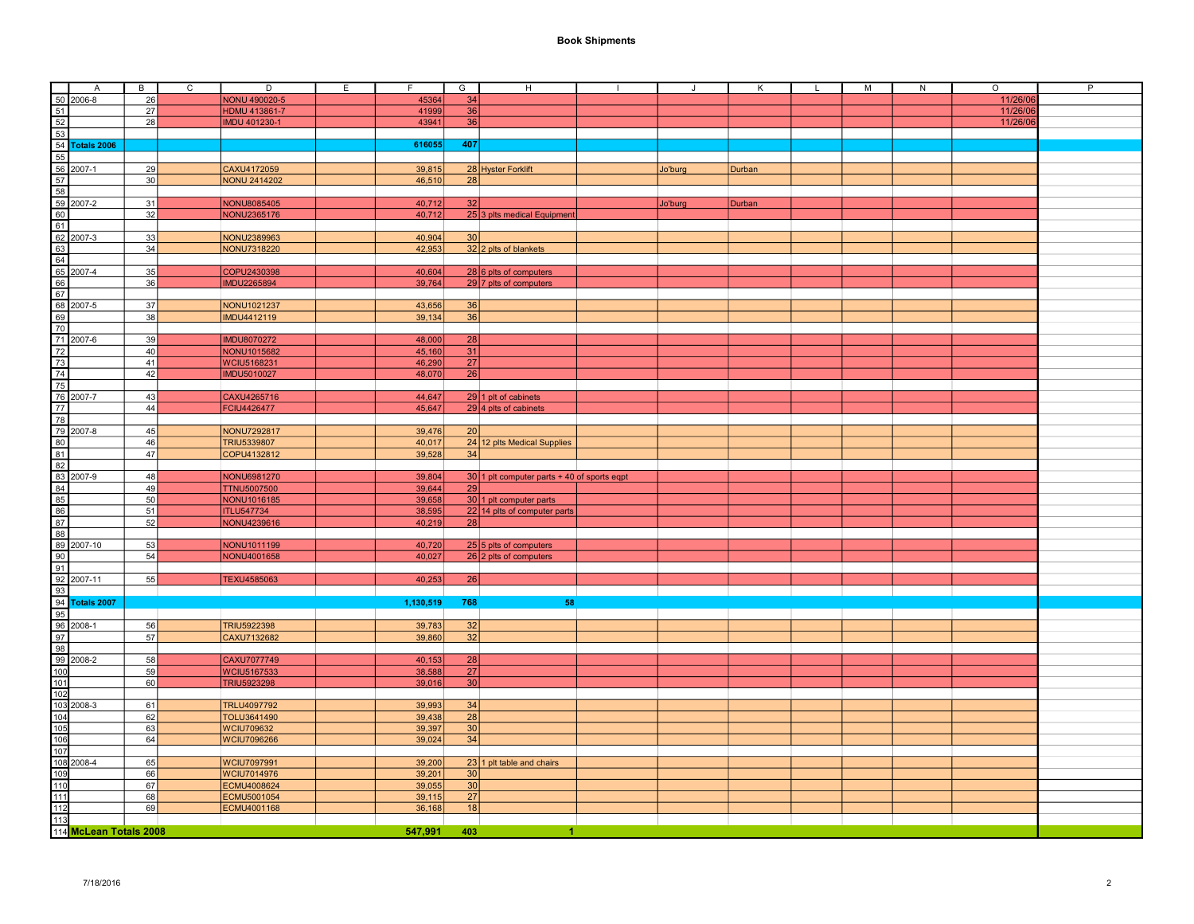| Α                      | B        | $\mathsf{C}$ | D                    | E. | F.        | G               | H                                             | $\mathbf{I}$ | J       | Κ      | $\mathsf{L}$ | M | N | $\circ$  | P |
|------------------------|----------|--------------|----------------------|----|-----------|-----------------|-----------------------------------------------|--------------|---------|--------|--------------|---|---|----------|---|
| 50 2006-8              | 26       |              | NONU 490020-5        |    | 45364     | 34              |                                               |              |         |        |              |   |   | 11/26/06 |   |
| 51                     | 27       |              | <b>HDMU 413861-7</b> |    | 41999     | 36              |                                               |              |         |        |              |   |   | 11/26/06 |   |
| 52                     | 28       |              | <b>IMDU 401230-1</b> |    | 43941     | 36              |                                               |              |         |        |              |   |   | 11/26/06 |   |
| 53                     |          |              |                      |    |           |                 |                                               |              |         |        |              |   |   |          |   |
| 54 Totals 2006         |          |              |                      |    | 616055    | 407             |                                               |              |         |        |              |   |   |          |   |
| 55                     |          |              |                      |    |           |                 |                                               |              |         |        |              |   |   |          |   |
| 56 2007-1              | 29       |              | CAXU4172059          |    | 39,815    |                 | 28 Hyster Forklift                            |              | Jo'burg | Durban |              |   |   |          |   |
| 57                     | 30       |              | <b>NONU 2414202</b>  |    | 46,510    | 28              |                                               |              |         |        |              |   |   |          |   |
| 58                     |          |              |                      |    |           |                 |                                               |              |         |        |              |   |   |          |   |
|                        |          |              |                      |    |           |                 |                                               |              |         |        |              |   |   |          |   |
| 59 2007-2              | 31       |              | <b>NONU8085405</b>   |    | 40,712    | 32              |                                               |              | Jo'burg | Durban |              |   |   |          |   |
| 60                     | 32       |              | NONU2365176          |    | 40,712    |                 | 25 3 plts medical Equipment                   |              |         |        |              |   |   |          |   |
| 61                     |          |              |                      |    |           |                 |                                               |              |         |        |              |   |   |          |   |
| 62 2007-3              | 33       |              | NONU2389963          |    | 40,904    | 30              |                                               |              |         |        |              |   |   |          |   |
| 63                     | 34       |              | NONU7318220          |    | 42,953    |                 | 32 2 plts of blankets                         |              |         |        |              |   |   |          |   |
| 64                     |          |              |                      |    |           |                 |                                               |              |         |        |              |   |   |          |   |
| 65 2007-4              | 35       |              | COPU2430398          |    | 40,604    |                 | 28 6 plts of computers                        |              |         |        |              |   |   |          |   |
| 66                     | 36       |              | <b>IMDU2265894</b>   |    | 39.764    |                 | 29 7 plts of computers                        |              |         |        |              |   |   |          |   |
| 67                     |          |              |                      |    |           |                 |                                               |              |         |        |              |   |   |          |   |
| 68 2007-5              | 37       |              | NONU1021237          |    | 43,656    | 36              |                                               |              |         |        |              |   |   |          |   |
| 69                     | 38       |              | <b>IMDU4412119</b>   |    | 39,134    | 36              |                                               |              |         |        |              |   |   |          |   |
| 70                     |          |              |                      |    |           |                 |                                               |              |         |        |              |   |   |          |   |
| 71 2007-6              | 39       |              | <b>IMDU8070272</b>   |    | 48,000    | 28              |                                               |              |         |        |              |   |   |          |   |
| 72                     | 40       |              | NONU1015682          |    | 45,160    | 31              |                                               |              |         |        |              |   |   |          |   |
| 73                     | 41       |              | <b>WCIU5168231</b>   |    | 46,290    | 27              |                                               |              |         |        |              |   |   |          |   |
| 74                     | 42       |              | <b>IMDU5010027</b>   |    | 48,070    | $\overline{26}$ |                                               |              |         |        |              |   |   |          |   |
| 75                     |          |              |                      |    |           |                 |                                               |              |         |        |              |   |   |          |   |
| 76 2007-7              | 43       |              | CAXU4265716          |    | 44,647    |                 | 29 1 plt of cabinets                          |              |         |        |              |   |   |          |   |
| 77                     | 44       |              | FCIU4426477          |    | 45,647    |                 | 29 4 plts of cabinets                         |              |         |        |              |   |   |          |   |
| 78                     |          |              |                      |    |           |                 |                                               |              |         |        |              |   |   |          |   |
| 79 2007-8              | 45       |              | NONU7292817          |    |           | 20              |                                               |              |         |        |              |   |   |          |   |
|                        |          |              |                      |    | 39,476    |                 |                                               |              |         |        |              |   |   |          |   |
| 80                     | 46<br>47 |              | TRIU5339807          |    | 40,017    | 34              | 24 12 plts Medical Supplies                   |              |         |        |              |   |   |          |   |
| 81                     |          |              | COPU4132812          |    | 39,528    |                 |                                               |              |         |        |              |   |   |          |   |
| 82                     |          |              |                      |    |           |                 |                                               |              |         |        |              |   |   |          |   |
| 83 2007-9              | 48       |              | NONU6981270          |    | 39,804    |                 | $30 1$ plt computer parts + 40 of sports eqpt |              |         |        |              |   |   |          |   |
| 84                     | 49       |              | <b>TTNU5007500</b>   |    | 39,644    | 29              |                                               |              |         |        |              |   |   |          |   |
| 85                     | 50       |              | NONU1016185          |    | 39,658    |                 | 30 1 plt computer parts                       |              |         |        |              |   |   |          |   |
| 86                     | 51       |              | <b>ITLU547734</b>    |    | 38,595    |                 | $22$ 14 plts of computer parts                |              |         |        |              |   |   |          |   |
| 87                     | 52       |              | NONU4239616          |    | 40,219    | 28              |                                               |              |         |        |              |   |   |          |   |
| 88                     |          |              |                      |    |           |                 |                                               |              |         |        |              |   |   |          |   |
| 89 2007-10             | 53       |              | NONU1011199          |    | 40,720    |                 | 25 5 plts of computers                        |              |         |        |              |   |   |          |   |
| 90                     | 54       |              | NONU4001658          |    | 40,027    |                 | 26 2 plts of computers                        |              |         |        |              |   |   |          |   |
| 91                     |          |              |                      |    |           |                 |                                               |              |         |        |              |   |   |          |   |
| 92 2007-11             | 55       |              | TEXU4585063          |    | 40,253    | 26              |                                               |              |         |        |              |   |   |          |   |
| 93                     |          |              |                      |    |           |                 |                                               |              |         |        |              |   |   |          |   |
| 94 Totals 2007         |          |              |                      |    | 1,130,519 | 768             | 58                                            |              |         |        |              |   |   |          |   |
| 95                     |          |              |                      |    |           |                 |                                               |              |         |        |              |   |   |          |   |
| 96<br>2008-1           | 56       |              | TRIU5922398          |    | 39,783    | $\frac{32}{ }$  |                                               |              |         |        |              |   |   |          |   |
| 97                     | 57       |              | CAXU7132682          |    | 39,860    | 32              |                                               |              |         |        |              |   |   |          |   |
| 98                     |          |              |                      |    |           |                 |                                               |              |         |        |              |   |   |          |   |
| 99 2008-2              | 58       |              | CAXU7077749          |    | 40,153    | 28              |                                               |              |         |        |              |   |   |          |   |
| 10 <sub>C</sub>        | 59       |              | WCIU5167533          |    | 38,588    | 27              |                                               |              |         |        |              |   |   |          |   |
| 101                    | 60       |              | <b>TRIU5923298</b>   |    | 39,016    | 30              |                                               |              |         |        |              |   |   |          |   |
| 102                    |          |              |                      |    |           |                 |                                               |              |         |        |              |   |   |          |   |
|                        |          |              |                      |    |           |                 |                                               |              |         |        |              |   |   |          |   |
| 10<br>2008-3           | 61       |              | TRLU4097792          |    | 39,993    | 34              |                                               |              |         |        |              |   |   |          |   |
| 104                    | 62       |              | <b>TOLU3641490</b>   |    | 39,438    | 28              |                                               |              |         |        |              |   |   |          |   |
| 105                    | 63       |              | <b>WCIU709632</b>    |    | 39,397    | 30              |                                               |              |         |        |              |   |   |          |   |
| 106                    | 64       |              | <b>WCIU7096266</b>   |    | 39.024    | 34              |                                               |              |         |        |              |   |   |          |   |
| 107                    |          |              |                      |    |           |                 |                                               |              |         |        |              |   |   |          |   |
| 108 2008-4             | 65       |              | <b>WCIU7097991</b>   |    | 39,200    |                 | 23 1 plt table and chairs                     |              |         |        |              |   |   |          |   |
| 109                    | 66       |              | <b>WCIU7014976</b>   |    | 39,201    | 30 <sup>1</sup> |                                               |              |         |        |              |   |   |          |   |
| 110                    | 67       |              | ECMU4008624          |    | 39.055    | 30              |                                               |              |         |        |              |   |   |          |   |
| $\overline{111}$       | 68       |              | ECMU5001054          |    | 39,115    | 27              |                                               |              |         |        |              |   |   |          |   |
| $\frac{112}{2}$        | 69       |              | ECMU4001168          |    | 36,168    | 18              |                                               |              |         |        |              |   |   |          |   |
| 113                    |          |              |                      |    |           |                 |                                               |              |         |        |              |   |   |          |   |
| 114 McLean Totals 2008 |          |              |                      |    | 547,991   | 403             | 4                                             |              |         |        |              |   |   |          |   |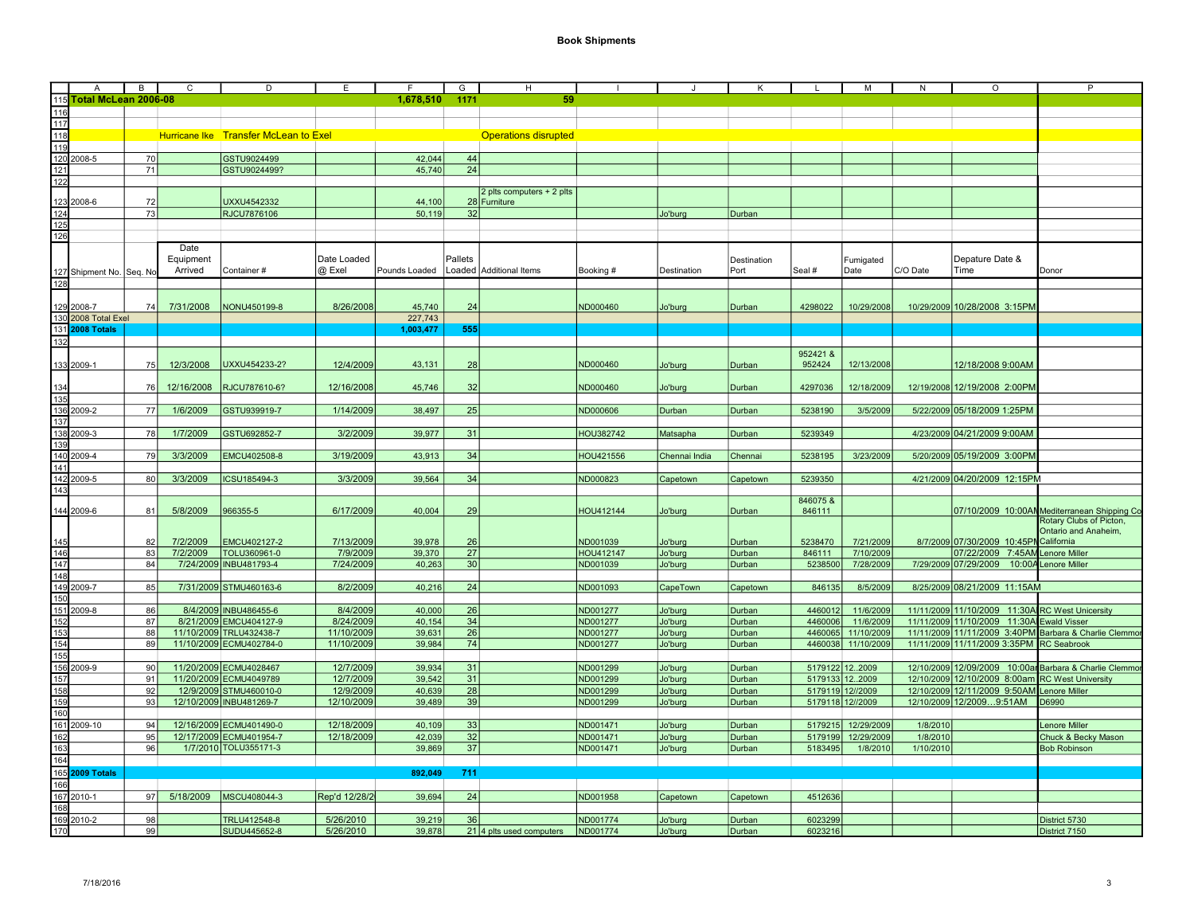|                                        | $\overline{A}$                         | В               | С          | D                                     | E             | F             | G       | H                           |                  |               | ĸ           |         | М                  | N         | $\circ$                                         | P                                                      |
|----------------------------------------|----------------------------------------|-----------------|------------|---------------------------------------|---------------|---------------|---------|-----------------------------|------------------|---------------|-------------|---------|--------------------|-----------|-------------------------------------------------|--------------------------------------------------------|
|                                        | 115 Total McLean 2006-08               |                 |            |                                       |               | 1,678,510     | 1171    | 59                          |                  |               |             |         |                    |           |                                                 |                                                        |
| 116                                    |                                        |                 |            |                                       |               |               |         |                             |                  |               |             |         |                    |           |                                                 |                                                        |
| $\frac{117}{118}$                      |                                        |                 |            |                                       |               |               |         |                             |                  |               |             |         |                    |           |                                                 |                                                        |
|                                        |                                        |                 |            | Hurricane Ike Transfer McLean to Exel |               |               |         | <b>Operations disrupted</b> |                  |               |             |         |                    |           |                                                 |                                                        |
|                                        | $\frac{119}{120}$ 2008-5               |                 |            |                                       |               |               |         |                             |                  |               |             |         |                    |           |                                                 |                                                        |
|                                        |                                        | 70              |            | GSTU9024499                           |               | 42,044        | 44      |                             |                  |               |             |         |                    |           |                                                 |                                                        |
| $\frac{121}{122}$                      |                                        | 71              |            | GSTU9024499?                          |               | 45,740        | 24      |                             |                  |               |             |         |                    |           |                                                 |                                                        |
|                                        |                                        |                 |            |                                       |               |               |         |                             |                  |               |             |         |                    |           |                                                 |                                                        |
|                                        |                                        |                 |            |                                       |               |               |         | 2 plts computers + 2 plts   |                  |               |             |         |                    |           |                                                 |                                                        |
|                                        | 123 2008-6                             | 72              |            | UXXU4542332                           |               | 44,100        |         | 28 Furniture                |                  |               |             |         |                    |           |                                                 |                                                        |
| 124                                    |                                        | 73              |            | RJCU7876106                           |               | 50,119        | 32      |                             |                  | Jo'burg       | Durban      |         |                    |           |                                                 |                                                        |
| 125                                    |                                        |                 |            |                                       |               |               |         |                             |                  |               |             |         |                    |           |                                                 |                                                        |
| 126                                    |                                        |                 |            |                                       |               |               |         |                             |                  |               |             |         |                    |           |                                                 |                                                        |
|                                        |                                        |                 | Date       |                                       |               |               |         |                             |                  |               |             |         |                    |           |                                                 |                                                        |
|                                        |                                        |                 | Equipment  |                                       | Date Loaded   |               | Pallets |                             |                  |               | Destination |         | Fumigated          |           | Depature Date &                                 |                                                        |
|                                        | 127 Shipment No.                       | Seq. No         | Arrived    | Container#                            | @ Exel        | Pounds Loaded |         | Loaded Additional Items     | Booking #        | Destination   | Port        | Seal #  | Date               | C/O Date  | Time                                            | Donor                                                  |
| 128                                    |                                        |                 |            |                                       |               |               |         |                             |                  |               |             |         |                    |           |                                                 |                                                        |
|                                        |                                        |                 |            |                                       |               |               |         |                             |                  |               |             |         |                    |           |                                                 |                                                        |
|                                        | 129 2008-7                             | 74              | 7/31/2008  | NONU450199-8                          | 8/26/2008     | 45,740        | 24      |                             | ND000460         | Jo'burg       | Durban      | 4298022 | 10/29/2008         |           | 10/29/2009 10/28/2008 3:15PM                    |                                                        |
|                                        | 130 2008 Total Exel                    |                 |            |                                       |               | 227,743       |         |                             |                  |               |             |         |                    |           |                                                 |                                                        |
|                                        | 131 2008 Totals                        |                 |            |                                       |               | 1,003,477     | 555     |                             |                  |               |             |         |                    |           |                                                 |                                                        |
| 132                                    |                                        |                 |            |                                       |               |               |         |                             |                  |               |             |         |                    |           |                                                 |                                                        |
|                                        |                                        |                 |            |                                       |               |               |         |                             |                  |               |             |         |                    |           |                                                 |                                                        |
|                                        |                                        |                 |            |                                       |               |               |         |                             | ND000460         |               |             | 952421& |                    |           |                                                 |                                                        |
|                                        | 133 2009-1                             | <b>75</b>       | 12/3/2008  | UXXU454233-2?                         | 12/4/2009     | 43,131        | 28      |                             |                  | Jo'burg       | Durban      | 952424  | 12/13/2008         |           | 12/18/2008 9:00AM                               |                                                        |
|                                        |                                        |                 |            |                                       |               |               |         |                             |                  |               |             |         |                    |           |                                                 |                                                        |
| 134                                    |                                        | 76              | 12/16/2008 | RJCU787610-6?                         | 12/16/2008    | 45,746        | 32      |                             | ND000460         | Jo'burg       | Durban      | 4297036 | 12/18/2009         |           | 12/19/2008 12/19/2008 2:00PM                    |                                                        |
| 135                                    |                                        |                 |            |                                       |               |               |         |                             |                  |               |             |         |                    |           |                                                 |                                                        |
|                                        | 136 2009-2<br>137                      | 77              | 1/6/2009   | GSTU939919-7                          | 1/14/2009     | 38,497        | 25      |                             | ND000606         | Durban        | Durban      | 5238190 | 3/5/2009           |           | 5/22/2009 05/18/2009 1:25PM                     |                                                        |
|                                        |                                        |                 |            |                                       |               |               |         |                             |                  |               |             |         |                    |           |                                                 |                                                        |
|                                        | 138 2009-3                             | 78              | 1/7/2009   | GSTU692852-7                          | 3/2/2009      | 39,977        | 31      |                             | <b>HOU382742</b> | Matsapha      | Durban      | 5239349 |                    |           | 4/23/2009 04/21/2009 9:00AM                     |                                                        |
| 139                                    |                                        |                 |            |                                       |               |               |         |                             |                  |               |             |         |                    |           |                                                 |                                                        |
|                                        | 140 2009-4                             | 79              | 3/3/2009   | EMCU402508-8                          | 3/19/2009     | 43,913        | 34      |                             | HOU421556        | Chennai India | Chennai     | 5238195 | 3/23/2009          |           | 5/20/2009 05/19/2009 3:00PM                     |                                                        |
| 141                                    |                                        |                 |            |                                       |               |               |         |                             |                  |               |             |         |                    |           |                                                 |                                                        |
|                                        | 142 2009-5                             | 80              | 3/3/2009   | ICSU185494-3                          | 3/3/2009      | 39,564        | 34      |                             | ND000823         | Capetown      | Capetown    | 5239350 |                    |           | 4/21/2009 04/20/2009 12:15PM                    |                                                        |
| $\overline{143}$                       |                                        |                 |            |                                       |               |               |         |                             |                  |               |             |         |                    |           |                                                 |                                                        |
|                                        |                                        |                 |            |                                       |               |               |         |                             |                  |               |             | 846075& |                    |           |                                                 |                                                        |
|                                        | 144 2009-6                             | 81              | 5/8/2009   | 966355-5                              | 6/17/2009     | 40,004        | 29      |                             | HOU412144        | Jo'burg       | Durban      | 846111  |                    |           |                                                 | 07/10/2009 10:00AN Mediterranean Shipping Co           |
|                                        |                                        |                 |            |                                       |               |               |         |                             |                  |               |             |         |                    |           |                                                 | Rotary Clubs of Picton,                                |
|                                        |                                        |                 |            |                                       |               |               |         |                             |                  |               |             |         |                    |           |                                                 | Ontario and Anaheim.                                   |
| 145                                    |                                        | 82              | 7/2/2009   | EMCU402127-2                          | 7/13/2009     | 39.978        | 26      |                             | ND001039         | Jo'burg       | Durban      | 5238470 | 7/21/2009          |           | 8/7/2009 07/30/2009 10:45PN California          |                                                        |
| 146                                    |                                        | 83              | 7/2/2009   | TOLU360961-0                          | 7/9/2009      | 39,370        | 27      |                             | <b>HOU412147</b> | Jo'burg       | Durban      | 846111  | 7/10/2009          |           | 07/22/2009 7:45AM Lenore Miller                 |                                                        |
|                                        |                                        | 84              | 7/24/2009  | <b>INBU481793-4</b>                   | 7/24/2009     | 40.263        | 30      |                             | ND001039         | Jo'burg       | Durban      | 5238500 | 7/28/2009          | 7/29/2009 | 07/29/2009<br>10:00A                            | Lenore Miller                                          |
| $\frac{147}{148}$                      |                                        |                 |            |                                       |               |               |         |                             |                  |               |             |         |                    |           |                                                 |                                                        |
|                                        | $\frac{119}{149}$ 2009-7               | 85              |            | 7/31/2009 STMU460163-6                | 8/2/2009      | 40,216        | 24      |                             | ND001093         | CapeTown      | Capetown    | 846135  | 8/5/2009           |           | 8/25/2009 08/21/2009 11:15AM                    |                                                        |
|                                        |                                        |                 |            |                                       |               |               |         |                             |                  |               |             |         |                    |           |                                                 |                                                        |
|                                        |                                        | 86              |            | 8/4/2009 INBU486455-6                 | 8/4/2009      | 40,000        | 26      |                             | ND001277         | Jo'burg       | Durban      | 4460012 | 11/6/2009          |           | 11/11/2009 11/10/2009 11:30A RC West Unicersity |                                                        |
|                                        | $\frac{151}{152}$ $\frac{2009-8}{152}$ | 87              |            | 8/21/2009 EMCU404127-9                | 8/24/2009     | 40,154        | 34      |                             | ND001277         | Jo'burg       | Durban      | 4460006 | 11/6/2009          |           | 11/11/2009 11/10/2009 11:30A Ewald Visser       |                                                        |
|                                        |                                        | 88              |            | 11/10/2009 TRLU432438-7               | 11/10/2009    | 39.631        | 26      |                             | ND001277         | Jo'burg       | Durban      | 4460065 | 11/10/2009         |           |                                                 | 11/11/2009 11/11/2009 3:40 PM Barbara & Charlie Clemmo |
| $rac{153}{154}$                        |                                        | 89              |            | 11/10/2009 ECMU402784-0               | 11/10/2009    | 39,984        | 74      |                             | ND001277         | Jo'burg       | Durban      |         | 4460038 11/10/2009 |           | 11/11/2009 11/11/2009 3:35PM RC Seabrook        |                                                        |
|                                        |                                        |                 |            |                                       |               |               |         |                             |                  |               |             |         |                    |           |                                                 |                                                        |
| $\frac{155}{155}$<br>$\frac{156}{157}$ | 2009-9                                 | 90              |            | 11/20/2009 ECMU4028467                | 12/7/2009     | 39,934        | 31      |                             | ND001299         |               | Durban      |         | 5179122 122009     |           |                                                 | 12/10/2009 12/09/2009 10:00ar Barbara & Charlie Clemmo |
|                                        |                                        | 91              |            | 11/20/2009 ECMU4049789                | 12/7/2009     |               | 31      |                             | ND001299         | Jo'burg       |             |         |                    |           |                                                 |                                                        |
|                                        |                                        | 92              |            |                                       |               | 39,542        |         |                             |                  | Jo'burg       | Durban      |         | 5179133 12.2009    |           | 12/10/2009 12/10/2009 8:00am RC West University |                                                        |
| 158<br>159                             |                                        |                 |            | 12/9/2009 STMU460010-0                | 12/9/2009     | 40.639        | 28      |                             | ND001299         | Jo'burg       | Durban      |         | 5179119 12//2009   |           | 12/10/2009 12/11/2009 9:50AM Lenore Miller      |                                                        |
|                                        |                                        | 93              |            | 12/10/2009 INBU481269-7               | 12/10/2009    | 39.489        | 39      |                             | ND001299         | Jo'burg       | Durban      |         | 5179118 12//2009   |           | 12/10/2009 12/20099:51AM                        | D6990                                                  |
| 160                                    |                                        |                 |            |                                       |               |               |         |                             |                  |               |             |         |                    |           |                                                 |                                                        |
|                                        | 161 2009-10                            | 94              |            | 12/16/2009 ECMU401490-0               | 12/18/2009    | 40,109        | 33      |                             | ND001471         | Jo'burg       | Durban      |         | 5179215 12/29/2009 | 1/8/2010  |                                                 | Lenore Miller                                          |
| 162                                    |                                        | 95              |            | 12/17/2009 ECMU401954-7               | 12/18/2009    | 42,039        | 32      |                             | ND001471         | Jo'burg       | Durban      | 5179199 | 12/29/2009         | 1/8/2010  |                                                 | Chuck & Becky Mason                                    |
| $\frac{163}{164}$                      |                                        | 96              |            | 1/7/2010 TOLU355171-3                 |               | 39,869        | 37      |                             | ND001471         | Jo'burg       | Durban      | 5183495 | 1/8/2010           | 1/10/2010 |                                                 | <b>Bob Robinson</b>                                    |
|                                        |                                        |                 |            |                                       |               |               |         |                             |                  |               |             |         |                    |           |                                                 |                                                        |
|                                        | 165 2009 Totals                        |                 |            |                                       |               | 892,049       | 711     |                             |                  |               |             |         |                    |           |                                                 |                                                        |
| 166                                    |                                        |                 |            |                                       |               |               |         |                             |                  |               |             |         |                    |           |                                                 |                                                        |
|                                        | 167 2010-1                             | 97 <sup>1</sup> | 5/18/2009  | MSCU408044-3                          | Rep'd 12/28/2 | 39,694        | 24      |                             | ND001958         | Capetown      | Capetown    | 4512636 |                    |           |                                                 |                                                        |
|                                        |                                        |                 |            |                                       |               |               |         |                             |                  |               |             |         |                    |           |                                                 |                                                        |
| 168                                    | 169 2010-2                             | 98              |            | TRLU412548-8                          |               | 39.219        | 36      |                             | ND001774         |               |             |         |                    |           |                                                 |                                                        |
|                                        |                                        |                 |            |                                       | 5/26/2010     |               |         |                             |                  | Jo'burg       | Durban      | 6023299 |                    |           |                                                 | District 5730                                          |
| 170                                    |                                        | 99              |            | SUDU445652-8                          | 5/26/2010     | 39,878        |         | $21$ 4 plts used computers  | ND001774         | Jo'burg       | Durban      | 6023216 |                    |           |                                                 | District 7150                                          |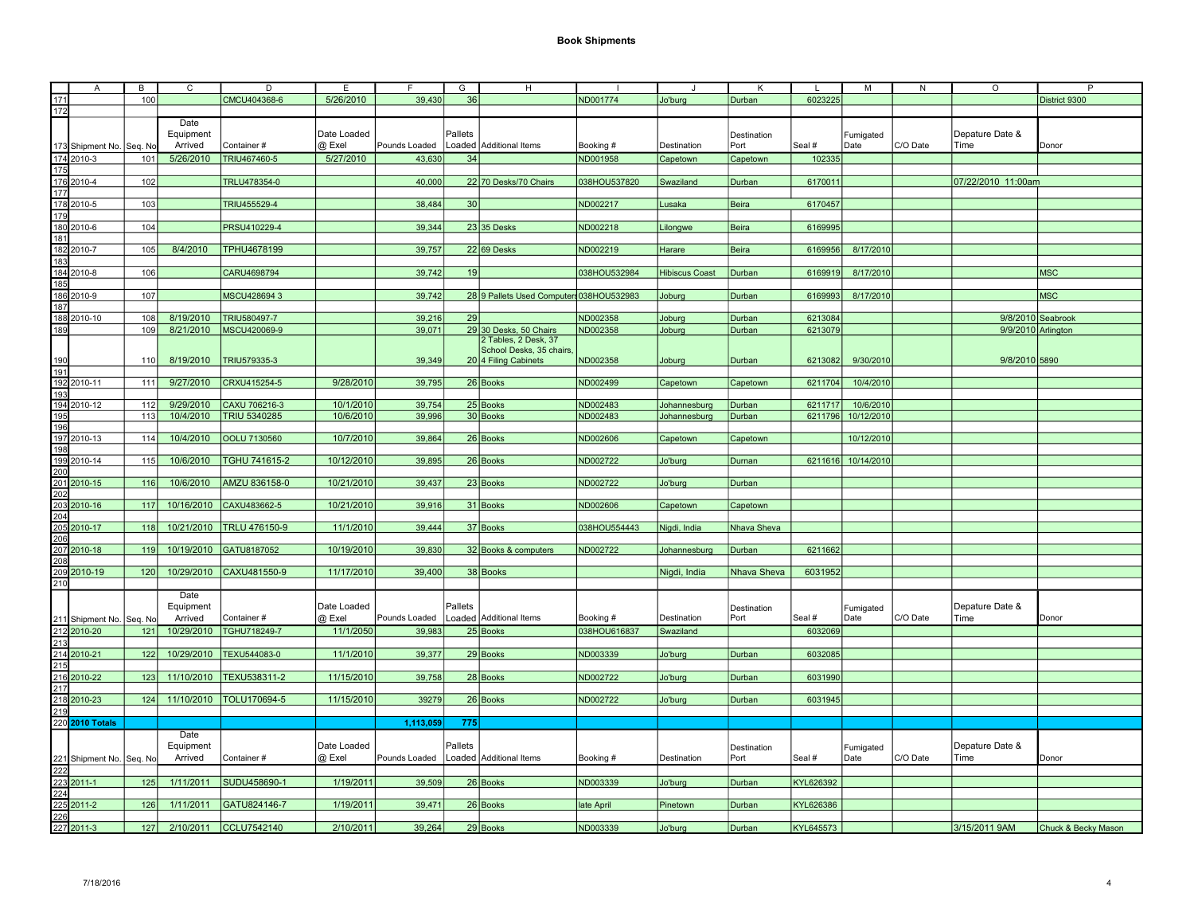|                                                                                                                          | $\overline{A}$                        | $\overline{B}$ | $\overline{c}$ | D                   | E           | F             | G       | H                                        |              |                       | K            |           | M                  | ${\sf N}$ | $\circ$            | P                   |
|--------------------------------------------------------------------------------------------------------------------------|---------------------------------------|----------------|----------------|---------------------|-------------|---------------|---------|------------------------------------------|--------------|-----------------------|--------------|-----------|--------------------|-----------|--------------------|---------------------|
| 171                                                                                                                      |                                       | 100            |                | CMCU404368-6        | 5/26/2010   | 39,430        | 36      |                                          | ND001774     | Jo'burg               | Durban       | 6023225   |                    |           |                    | District 9300       |
| 172                                                                                                                      |                                       |                |                |                     |             |               |         |                                          |              |                       |              |           |                    |           |                    |                     |
|                                                                                                                          |                                       |                | Date           |                     |             |               |         |                                          |              |                       |              |           |                    |           |                    |                     |
|                                                                                                                          |                                       |                | Equipment      |                     | Date Loaded |               | Pallets |                                          |              |                       |              |           |                    |           | Depature Date &    |                     |
|                                                                                                                          |                                       |                |                |                     |             |               |         |                                          |              |                       | Destination  |           | Fumigated          |           |                    |                     |
|                                                                                                                          | 173 Shipment No. Seq. No              |                | Arrived        | Container#          | @ Exel      | Pounds Loaded |         | Loaded Additional Items                  | Booking #    | Destination           | Port         | Seal #    | Date               | C/O Date  | Time               | Donor               |
| 174 2010-3                                                                                                               |                                       | 101            | 5/26/2010      | TRIU467460-5        | 5/27/2010   | 43,630        | 34      |                                          | ND001958     | Capetown              | Capetown     | 102335    |                    |           |                    |                     |
| 175                                                                                                                      |                                       |                |                |                     |             |               |         |                                          |              |                       |              |           |                    |           |                    |                     |
| 176 2010-4                                                                                                               |                                       | 102            |                | TRLU478354-0        |             | 40,000        |         | 22 70 Desks/70 Chairs                    | 038HOU537820 | Swaziland             | Durban       | 6170011   |                    |           | 07/22/2010 11:00am |                     |
| 177                                                                                                                      |                                       |                |                |                     |             |               |         |                                          |              |                       |              |           |                    |           |                    |                     |
| 178 2010-5                                                                                                               |                                       | 103            |                | TRIU455529-4        |             | 38,484        | 30      |                                          | ND002217     | Lusaka                | Beira        | 6170457   |                    |           |                    |                     |
| $\frac{179}{180}$ $\frac{2010}{2010}$                                                                                    |                                       |                |                |                     |             |               |         |                                          |              |                       |              |           |                    |           |                    |                     |
|                                                                                                                          |                                       | 104            |                | PRSU410229-4        |             | 39,344        |         | 23 35 Desks                              | ND002218     | Lilongwe              | <b>Beira</b> | 6169995   |                    |           |                    |                     |
| 181                                                                                                                      |                                       |                |                |                     |             |               |         |                                          |              |                       |              |           |                    |           |                    |                     |
| 182 2010-7                                                                                                               |                                       | 105            | 8/4/2010       | TPHU4678199         |             | 39,757        |         | $22 69$ Desks                            | ND002219     | Harare                | <b>Beira</b> | 6169956   | 8/17/2010          |           |                    |                     |
| 183                                                                                                                      |                                       |                |                |                     |             |               |         |                                          |              |                       |              |           |                    |           |                    |                     |
| 184 2010-8                                                                                                               |                                       | 106            |                | CARU4698794         |             | 39,742        | 19      |                                          | 038HOU532984 | <b>Hibiscus Coast</b> | Durban       | 6169919   | 8/17/2010          |           |                    | <b>MSC</b>          |
| 185                                                                                                                      |                                       |                |                |                     |             |               |         |                                          |              |                       |              |           |                    |           |                    |                     |
|                                                                                                                          |                                       |                |                |                     |             |               |         |                                          |              |                       |              |           |                    |           |                    |                     |
| 186 2010-9                                                                                                               |                                       | 107            |                | MSCU428694 3        |             | 39,742        |         | 28 9 Pallets Used Computers 038HOU532983 |              | Joburg                | Durban       | 6169993   | 8/17/2010          |           |                    | <b>MSC</b>          |
| 187                                                                                                                      |                                       |                |                |                     |             |               |         |                                          |              |                       |              |           |                    |           |                    |                     |
| 188 2010-10                                                                                                              |                                       | 108            | 8/19/2010      | TRIU580497-7        |             | 39,216        | 29      |                                          | ND002358     | Joburg                | Durban       | 6213084   |                    |           |                    | 9/8/2010 Seabrook   |
| 189                                                                                                                      |                                       | 109            | 8/21/2010      | MSCU420069-9        |             | 39,071        |         | 29 30 Desks, 50 Chairs                   | ND002358     | Joburg                | Durban       | 6213079   |                    |           | 9/9/2010 Arlington |                     |
|                                                                                                                          |                                       |                |                |                     |             |               |         | 2 Tables, 2 Desk, 37                     |              |                       |              |           |                    |           |                    |                     |
|                                                                                                                          |                                       |                |                |                     |             |               |         | School Desks, 35 chairs,                 |              |                       |              |           |                    |           |                    |                     |
| 190                                                                                                                      |                                       | 110            | 8/19/2010      | TRIU579335-3        |             | 39,349        |         | 20 4 Filing Cabinets                     | ND002358     | Joburg                | Durban       | 6213082   | 9/30/2010          |           | 9/8/2010 5890      |                     |
| 191                                                                                                                      |                                       |                |                |                     |             |               |         |                                          |              |                       |              |           |                    |           |                    |                     |
| 192 2010-11                                                                                                              |                                       | 111            | 9/27/2010      | CRXU415254-5        | 9/28/2010   | 39,795        |         | 26 Books                                 | ND002499     | Capetown              | Capetown     | 6211704   | 10/4/2010          |           |                    |                     |
| 193                                                                                                                      |                                       |                |                |                     |             |               |         |                                          |              |                       |              |           |                    |           |                    |                     |
| 194 2010-12                                                                                                              |                                       | 112            | 9/29/2010      | CAXU 706216-3       | 10/1/2010   | 39,754        |         | 25 Books                                 | ND002483     | Johannesburg          | Durban       | 6211717   | 10/6/2010          |           |                    |                     |
| 195                                                                                                                      |                                       | 113            | 10/4/2010      | <b>TRIU 5340285</b> | 10/6/2010   | 39,996        |         | 30 Books                                 | ND002483     | Johannesburg          | Durban       | 6211796   | 10/12/2010         |           |                    |                     |
| 196                                                                                                                      |                                       |                |                |                     |             |               |         |                                          |              |                       |              |           |                    |           |                    |                     |
| 197 2010-13                                                                                                              |                                       | 114            | 10/4/2010      | OOLU 7130560        | 10/7/2010   | 39,864        |         | 26 Books                                 | ND002606     | Capetown              | Capetown     |           | 10/12/2010         |           |                    |                     |
| 198                                                                                                                      |                                       |                |                |                     |             |               |         |                                          |              |                       |              |           |                    |           |                    |                     |
| 199 2010-14                                                                                                              |                                       | 115            | 10/6/2010      | TGHU 741615-2       | 10/12/2010  | 39,895        |         | 26 Books                                 | ND002722     | Jo'burg               | Durnan       |           | 6211616 10/14/2010 |           |                    |                     |
|                                                                                                                          |                                       |                |                |                     |             |               |         |                                          |              |                       |              |           |                    |           |                    |                     |
|                                                                                                                          |                                       | 116            | 10/6/2010      | AMZU 836158-0       | 10/21/2010  | 39,437        |         | 23 Books                                 | ND002722     | Jo'burg               | Durban       |           |                    |           |                    |                     |
|                                                                                                                          |                                       |                |                |                     |             |               |         |                                          |              |                       |              |           |                    |           |                    |                     |
|                                                                                                                          |                                       | 117            | 10/16/2010     | CAXU483662-5        | 10/21/2010  | 39,916        |         | 31 Books                                 | ND002606     | Capetown              | Capetown     |           |                    |           |                    |                     |
|                                                                                                                          |                                       |                |                |                     |             |               |         |                                          |              |                       |              |           |                    |           |                    |                     |
|                                                                                                                          |                                       | 118            | 10/21/2010     | TRLU 476150-9       | 11/1/2010   | 39,444        |         | 37 Books                                 | 038HOU554443 | Nigdi, India          | Nhava Sheva  |           |                    |           |                    |                     |
|                                                                                                                          |                                       |                |                |                     |             |               |         |                                          |              |                       |              |           |                    |           |                    |                     |
|                                                                                                                          |                                       | 119            | 10/19/2010     | GATU8187052         | 10/19/2010  | 39,830        |         | 32 Books & computers                     | ND002722     | Johannesburg          | Durban       | 6211662   |                    |           |                    |                     |
|                                                                                                                          |                                       |                |                |                     |             |               |         |                                          |              |                       |              |           |                    |           |                    |                     |
|                                                                                                                          |                                       | 120            | 10/29/2010     | CAXU481550-9        | 11/17/2010  | 39,400        |         | 38 Books                                 |              | Nigdi, India          | Nhava Sheva  | 6031952   |                    |           |                    |                     |
|                                                                                                                          |                                       |                |                |                     |             |               |         |                                          |              |                       |              |           |                    |           |                    |                     |
| 199 2010-14<br>200<br>202<br>203 2010-16<br>203 2010-16<br>205<br>207 2010-18<br>208<br>209 2010-19<br>210<br>210<br>210 |                                       |                | Date           |                     |             |               |         |                                          |              |                       |              |           |                    |           |                    |                     |
|                                                                                                                          |                                       |                |                |                     |             |               | Pallets |                                          |              |                       |              |           |                    |           |                    |                     |
|                                                                                                                          |                                       |                | Equipment      |                     | Date Loaded |               |         |                                          |              |                       | Destination  |           | Fumigated          |           | Depature Date &    |                     |
|                                                                                                                          | 211 Shipment No.<br>212 2010-20       | Seq. No        | Arrived        | Container#          | @ Exel      | Pounds Loaded |         | Loaded Additional Items                  | Booking #    | Destination           | Port         | Seal #    | Date               | C/O Date  | Time               | Donor               |
|                                                                                                                          |                                       | 121            | 10/29/2010     | TGHU718249-7        | 11/1/2050   | 39.983        |         | 25 Books                                 | 038HOU616837 | Swaziland             |              | 6032069   |                    |           |                    |                     |
| 213<br>214 2010-21<br>215                                                                                                |                                       |                |                |                     |             |               |         |                                          |              |                       |              |           |                    |           |                    |                     |
|                                                                                                                          |                                       | 122            | 10/29/2010     | TEXU544083-0        | 11/1/2010   | 39,377        |         | 29 Books                                 | ND003339     | Jo'burg               | Durban       | 6032085   |                    |           |                    |                     |
|                                                                                                                          |                                       |                |                |                     |             |               |         |                                          |              |                       |              |           |                    |           |                    |                     |
|                                                                                                                          |                                       | 123            | 11/10/2010     | TEXU538311-2        | 11/15/2010  | 39,758        |         | 28 Books                                 | ND002722     | Jo'burg               | Durban       | 6031990   |                    |           |                    |                     |
|                                                                                                                          |                                       |                |                |                     |             |               |         |                                          |              |                       |              |           |                    |           |                    |                     |
| 215<br>216 2010-22<br>217<br>218 2010-23                                                                                 |                                       | 124            | 11/10/2010     | TOLU170694-5        | 11/15/2010  | 39279         |         | 26 Books                                 | ND002722     | Jo'burg               | Durban       | 6031945   |                    |           |                    |                     |
|                                                                                                                          |                                       |                |                |                     |             |               |         |                                          |              |                       |              |           |                    |           |                    |                     |
|                                                                                                                          | 219<br>220 2010 Totals                |                |                |                     |             | 1,113,059     | 775     |                                          |              |                       |              |           |                    |           |                    |                     |
|                                                                                                                          |                                       |                | Date           |                     |             |               |         |                                          |              |                       |              |           |                    |           |                    |                     |
|                                                                                                                          |                                       |                | Equipment      |                     | Date Loaded |               | Pallets |                                          |              |                       | Destination  |           | Fumigated          |           | Depature Date &    |                     |
|                                                                                                                          |                                       |                | Arrived        | Container#          | @ Exel      | Pounds Loaded |         | Loaded Additional Items                  | Booking #    | Destination           | Port         | Seal #    | Date               | C/O Date  | <b>Time</b>        | Donor               |
|                                                                                                                          |                                       | Seq. No        |                |                     |             |               |         |                                          |              |                       |              |           |                    |           |                    |                     |
|                                                                                                                          |                                       |                |                |                     |             |               |         |                                          |              |                       |              |           |                    |           |                    |                     |
|                                                                                                                          | 221 Shipment No.<br>222<br>223 2011-1 | 125            | 1/11/2011      | SUDU458690-1        | 1/19/2011   | 39,509        |         | 26 Books                                 | ND003339     | Jo'burg               | Durban       | KYL626392 |                    |           |                    |                     |
|                                                                                                                          |                                       |                |                |                     |             |               |         |                                          |              |                       |              |           |                    |           |                    |                     |
|                                                                                                                          | 2011-2                                | 126            | 1/11/2011      | GATU824146-7        | 1/19/2011   | 39,471        |         | 26 Books                                 | late April   | Pinetown              | Durban       | KYL626386 |                    |           |                    |                     |
|                                                                                                                          |                                       |                |                |                     |             |               |         |                                          |              |                       |              |           |                    |           |                    |                     |
| 224<br>225<br>225<br>226<br>227<br>2011-3                                                                                |                                       | 127            | 2/10/2011      | CCLU7542140         | 2/10/2011   | 39,264        |         | 29 Books                                 | ND003339     | Jo'burg               | Durban       | KYL645573 |                    |           | 3/15/2011 9AM      | Chuck & Becky Mason |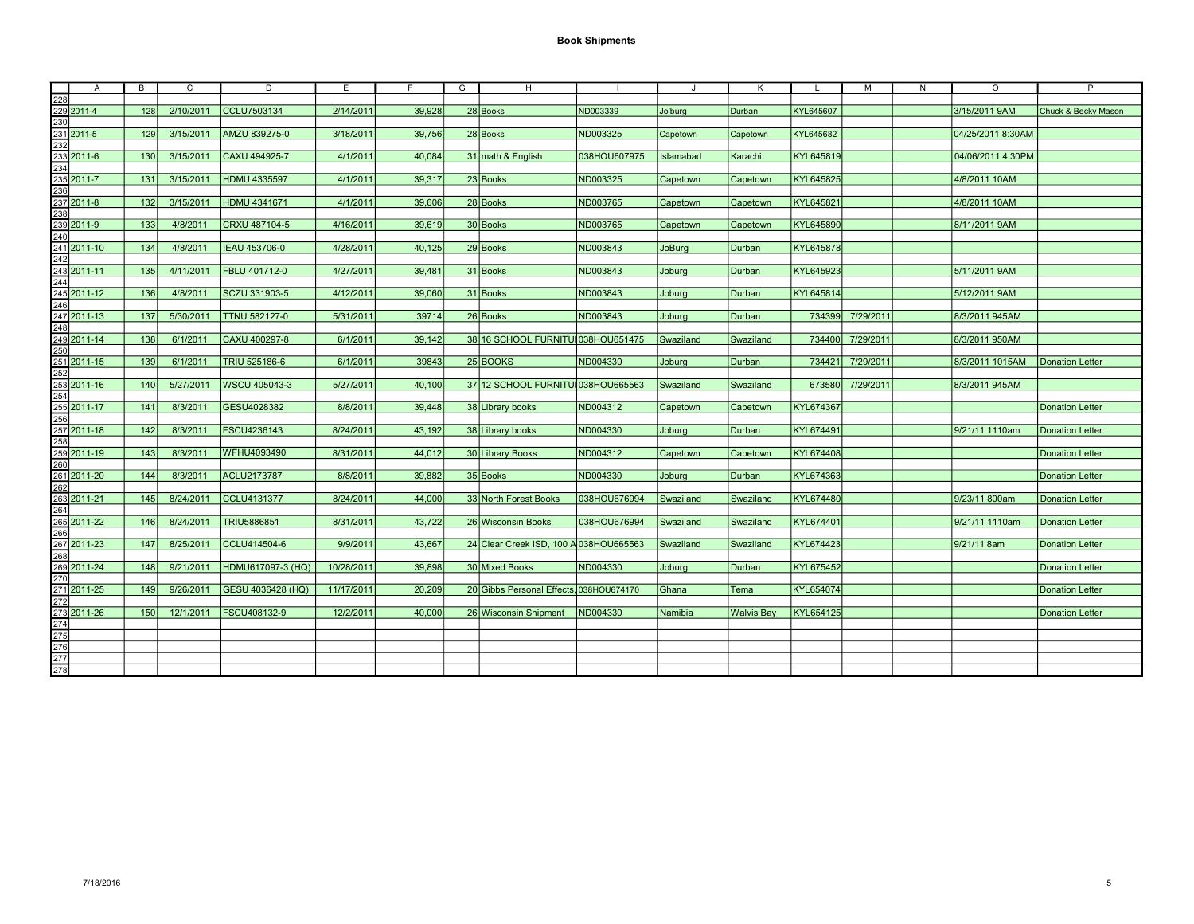| $\mathsf{A}$                                                                                                                                                                                                                                                                         | B   | С         | D                 | E          | F.     | G | H                                        | -1           | J         | К                 | L.        | м         | N | $\circ$           | P                      |
|--------------------------------------------------------------------------------------------------------------------------------------------------------------------------------------------------------------------------------------------------------------------------------------|-----|-----------|-------------------|------------|--------|---|------------------------------------------|--------------|-----------|-------------------|-----------|-----------|---|-------------------|------------------------|
| 228<br>229 2011-4<br>230<br>231 2011-5<br>232                                                                                                                                                                                                                                        |     |           |                   |            |        |   |                                          |              |           |                   |           |           |   |                   |                        |
|                                                                                                                                                                                                                                                                                      | 128 | 2/10/2011 | CCLU7503134       | 2/14/2011  | 39.928 |   | 28 Books                                 | ND003339     | Jo'burg   | Durban            | KYL645607 |           |   | 3/15/2011 9AM     | Chuck & Becky Mason    |
|                                                                                                                                                                                                                                                                                      |     |           |                   |            |        |   |                                          |              |           |                   |           |           |   |                   |                        |
|                                                                                                                                                                                                                                                                                      | 129 | 3/15/2011 | AMZU 839275-0     | 3/18/2011  | 39,756 |   | 28 Books                                 | ND003325     | Capetown  | Capetown          | KYL645682 |           |   | 04/25/2011 8:30AM |                        |
|                                                                                                                                                                                                                                                                                      |     |           |                   |            |        |   |                                          |              |           |                   |           |           |   |                   |                        |
|                                                                                                                                                                                                                                                                                      | 130 | 3/15/2011 | CAXU 494925-7     | 4/1/2011   | 40,084 |   | 31 math & English                        | 038HOU607975 | Islamabad | Karachi           | KYL645819 |           |   | 04/06/2011 4:30PM |                        |
| $\frac{233}{234}$ 2011-6                                                                                                                                                                                                                                                             |     |           |                   |            |        |   |                                          |              |           |                   |           |           |   |                   |                        |
|                                                                                                                                                                                                                                                                                      | 131 | 3/15/2011 | HDMU 4335597      | 4/1/2011   | 39,317 |   | 23 Books                                 | ND003325     | Capetown  | Capetown          | KYL645825 |           |   | 4/8/2011 10AM     |                        |
|                                                                                                                                                                                                                                                                                      |     |           |                   |            |        |   |                                          |              |           |                   |           |           |   |                   |                        |
|                                                                                                                                                                                                                                                                                      | 132 | 3/15/2011 | HDMU 4341671      | 4/1/2011   | 39,606 |   | 28 Books                                 | ND003765     | Capetown  | Capetown          | KYL645821 |           |   | 4/8/2011 10AM     |                        |
|                                                                                                                                                                                                                                                                                      |     |           |                   |            |        |   |                                          |              |           |                   |           |           |   |                   |                        |
|                                                                                                                                                                                                                                                                                      | 133 | 4/8/2011  | CRXU 487104-5     | 4/16/2011  | 39.619 |   | 30 Books                                 | ND003765     | Capetown  | Capetown          | KYL645890 |           |   | 8/11/2011 9AM     |                        |
|                                                                                                                                                                                                                                                                                      |     |           |                   |            |        |   |                                          |              |           |                   |           |           |   |                   |                        |
|                                                                                                                                                                                                                                                                                      | 134 | 4/8/2011  | IEAU 453706-0     | 4/28/2011  | 40,125 |   | 29 Books                                 | ND003843     | JoBurg    | Durban            | KYL645878 |           |   |                   |                        |
|                                                                                                                                                                                                                                                                                      |     |           |                   |            |        |   |                                          |              |           |                   |           |           |   |                   |                        |
|                                                                                                                                                                                                                                                                                      | 135 | 4/11/2011 | FBLU 401712-0     | 4/27/2011  | 39,481 |   | 31 Books                                 | ND003843     | Joburg    | Durban            | KYL645923 |           |   | 5/11/2011 9AM     |                        |
|                                                                                                                                                                                                                                                                                      |     |           |                   |            |        |   |                                          |              |           |                   |           |           |   |                   |                        |
|                                                                                                                                                                                                                                                                                      | 136 | 4/8/2011  | SCZU 331903-5     | 4/12/2011  | 39,060 |   | 31 Books                                 | ND003843     | Joburg    | Durban            | KYL645814 |           |   | 5/12/2011 9AM     |                        |
|                                                                                                                                                                                                                                                                                      |     |           |                   |            |        |   |                                          |              |           |                   |           |           |   |                   |                        |
|                                                                                                                                                                                                                                                                                      | 137 | 5/30/2011 | TTNU 582127-0     | 5/31/2011  | 39714  |   | 26 Books                                 | ND003843     | Joburg    | Durban            | 734399    | 7/29/2011 |   | 8/3/2011 945AM    |                        |
|                                                                                                                                                                                                                                                                                      |     |           |                   |            |        |   |                                          |              |           |                   |           |           |   |                   |                        |
|                                                                                                                                                                                                                                                                                      | 138 | 6/1/2011  | CAXU 400297-8     | 6/1/2011   | 39,142 |   | 38 16 SCHOOL FURNITU 038HOU651475        |              | Swaziland | Swaziland         | 734400    | 7/29/2011 |   | 8/3/2011 950AM    |                        |
|                                                                                                                                                                                                                                                                                      |     |           |                   |            |        |   |                                          |              |           |                   |           |           |   |                   |                        |
|                                                                                                                                                                                                                                                                                      | 139 | 6/1/2011  | TRIU 525186-6     | 6/1/2011   | 39843  |   | 25 BOOKS                                 | ND004330     | Joburg    | Durban            | 734421    | 7/29/2011 |   | 8/3/2011 1015AM   | <b>Donation Letter</b> |
|                                                                                                                                                                                                                                                                                      |     |           |                   |            |        |   |                                          |              |           |                   |           |           |   |                   |                        |
|                                                                                                                                                                                                                                                                                      | 140 | 5/27/2011 | WSCU 405043-3     | 5/27/2011  | 40.100 |   | 37 12 SCHOOL FURNITU 038HOU665563        |              | Swaziland | Swaziland         | 673580    | 7/29/2011 |   | 8/3/2011 945AM    |                        |
|                                                                                                                                                                                                                                                                                      |     |           |                   |            |        |   |                                          |              |           |                   |           |           |   |                   |                        |
|                                                                                                                                                                                                                                                                                      | 141 | 8/3/2011  | GESU4028382       | 8/8/2011   | 39,448 |   | 38 Library books                         | ND004312     | Capetown  | Capetown          | KYL674367 |           |   |                   | <b>Donation Letter</b> |
|                                                                                                                                                                                                                                                                                      |     |           |                   |            |        |   |                                          |              |           |                   |           |           |   |                   |                        |
|                                                                                                                                                                                                                                                                                      | 142 | 8/3/2011  | FSCU4236143       | 8/24/2011  | 43.192 |   | 38 Library books                         | ND004330     | Jobura    | Durban            | KYL674491 |           |   | 9/21/11 1110am    | <b>Donation Letter</b> |
|                                                                                                                                                                                                                                                                                      |     |           |                   |            |        |   |                                          |              |           |                   |           |           |   |                   |                        |
|                                                                                                                                                                                                                                                                                      | 143 | 8/3/2011  | WFHU4093490       | 8/31/2011  | 44,012 |   | 30 Library Books                         | ND004312     | Capetown  | Capetown          | KYL674408 |           |   |                   | <b>Donation Letter</b> |
| 235 2011-7<br>236 2011-8<br>238 239 2011-9<br>241 2011-10<br>244 2011-11<br>244 2011-11<br>245 2011-11<br>245 2011-14<br>255 2011-14<br>255 2011-11<br>255 2011-11<br>255 2011-11<br>255 2011-11<br>255 2011-11<br>255 2011-11<br>255 2011-11<br>255 2011-11<br>255 2011-11<br>255 2 |     |           |                   |            |        |   |                                          |              |           |                   |           |           |   |                   |                        |
|                                                                                                                                                                                                                                                                                      | 144 | 8/3/2011  | ACLU2173787       | 8/8/2011   | 39,882 |   | 35 Books                                 | ND004330     | Joburg    | Durban            | KYL674363 |           |   |                   | <b>Donation Letter</b> |
|                                                                                                                                                                                                                                                                                      |     |           |                   |            |        |   |                                          |              |           |                   |           |           |   |                   |                        |
|                                                                                                                                                                                                                                                                                      | 145 | 8/24/2011 | CCLU4131377       | 8/24/2011  | 44,000 |   | 33 North Forest Books                    | 038HOU676994 | Swaziland | Swaziland         | KYL674480 |           |   | 9/23/11 800am     | <b>Donation Letter</b> |
|                                                                                                                                                                                                                                                                                      |     |           |                   |            |        |   |                                          |              |           |                   |           |           |   |                   |                        |
|                                                                                                                                                                                                                                                                                      | 146 | 8/24/2011 | TRIU5886851       | 8/31/2011  | 43,722 |   | 26 Wisconsin Books                       | 038HOU676994 | Swaziland | Swaziland         | KYL674401 |           |   | 9/21/11 1110am    | <b>Donation Letter</b> |
|                                                                                                                                                                                                                                                                                      |     |           |                   |            |        |   |                                          |              |           |                   |           |           |   |                   |                        |
|                                                                                                                                                                                                                                                                                      | 147 | 8/25/2011 | CCLU414504-6      | 9/9/2011   | 43,667 |   | 24 Clear Creek ISD, 100 A 038 HOU 665563 |              | Swaziland | Swaziland         | KYL674423 |           |   | 9/21/11 8am       | <b>Donation Letter</b> |
|                                                                                                                                                                                                                                                                                      |     |           |                   |            |        |   |                                          |              |           |                   |           |           |   |                   |                        |
|                                                                                                                                                                                                                                                                                      | 148 | 9/21/2011 | HDMU617097-3 (HQ) | 10/28/2011 | 39,898 |   | 30 Mixed Books                           | ND004330     | Joburg    | Durban            | KYL675452 |           |   |                   | <b>Donation Letter</b> |
| 2011-20<br>262<br>263<br>264<br>265<br>2011-22<br>266<br>267<br>2011-23<br>269<br>2011-24<br>270<br>202<br>203<br>203<br>203<br>203                                                                                                                                                  |     |           |                   |            |        |   |                                          |              |           |                   |           |           |   |                   |                        |
|                                                                                                                                                                                                                                                                                      | 149 | 9/26/2011 | GESU 4036428 (HQ) | 11/17/2011 | 20,209 |   | 20 Gibbs Personal Effects, 038HOU674170  |              | Ghana     | Tema              | KYL654074 |           |   |                   | <b>Donation Letter</b> |
| 270<br>271 2011-25<br>272<br>273 2011-26<br>274<br>275<br>276<br>277<br>278                                                                                                                                                                                                          |     |           |                   |            |        |   |                                          |              |           |                   |           |           |   |                   |                        |
|                                                                                                                                                                                                                                                                                      | 150 | 12/1/2011 | FSCU408132-9      | 12/2/2011  | 40,000 |   | 26 Wisconsin Shipment   ND004330         |              | Namibia   | <b>Walvis Bay</b> | KYL654125 |           |   |                   | <b>Donation Letter</b> |
|                                                                                                                                                                                                                                                                                      |     |           |                   |            |        |   |                                          |              |           |                   |           |           |   |                   |                        |
|                                                                                                                                                                                                                                                                                      |     |           |                   |            |        |   |                                          |              |           |                   |           |           |   |                   |                        |
|                                                                                                                                                                                                                                                                                      |     |           |                   |            |        |   |                                          |              |           |                   |           |           |   |                   |                        |
|                                                                                                                                                                                                                                                                                      |     |           |                   |            |        |   |                                          |              |           |                   |           |           |   |                   |                        |
|                                                                                                                                                                                                                                                                                      |     |           |                   |            |        |   |                                          |              |           |                   |           |           |   |                   |                        |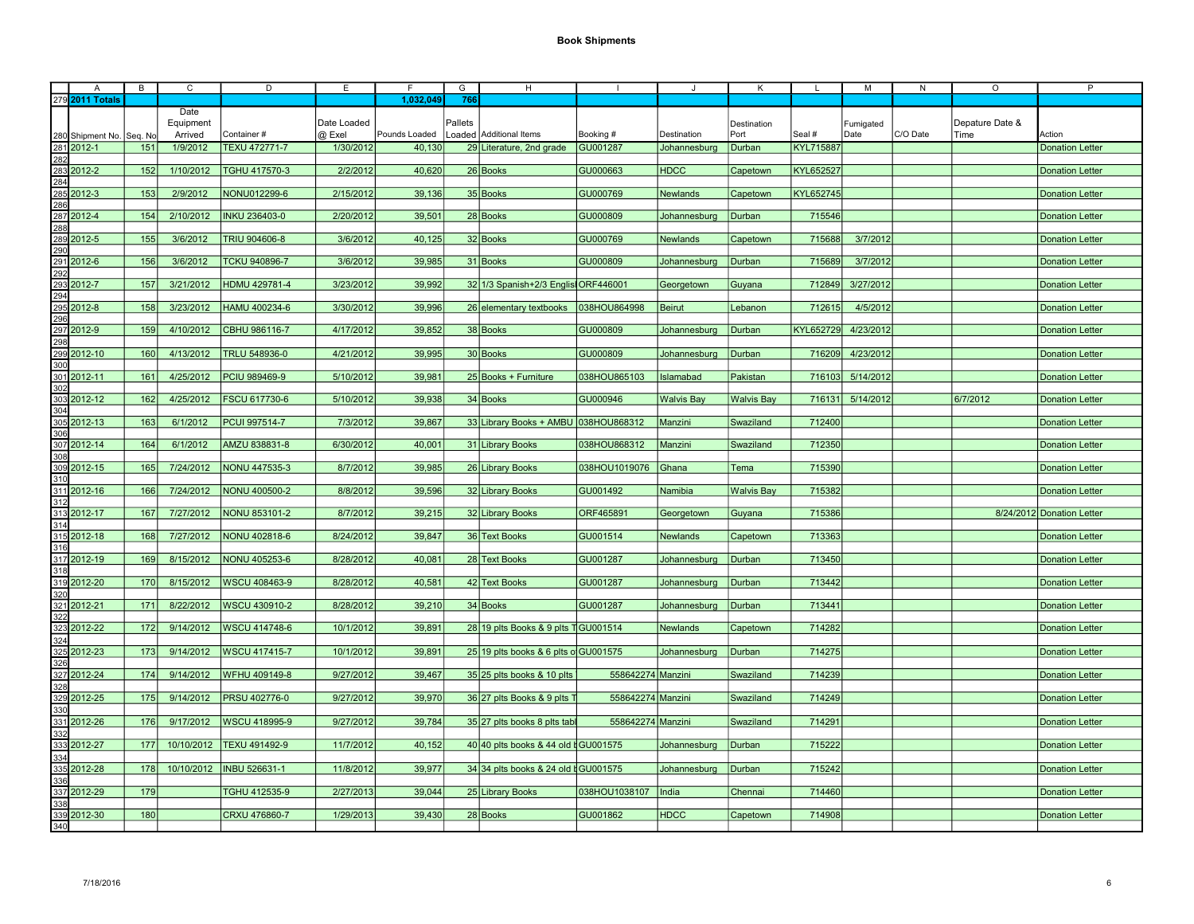| A                                                                                                                                                                                                                                                                               | $\overline{B}$ | C          | D                    | E           |               | G       | H                                                |                   |                   | К                 |           | M         | N        | $\circ$         | P                         |
|---------------------------------------------------------------------------------------------------------------------------------------------------------------------------------------------------------------------------------------------------------------------------------|----------------|------------|----------------------|-------------|---------------|---------|--------------------------------------------------|-------------------|-------------------|-------------------|-----------|-----------|----------|-----------------|---------------------------|
| 279 2011 Totals                                                                                                                                                                                                                                                                 |                |            |                      |             | 1,032,049     | 766     |                                                  |                   |                   |                   |           |           |          |                 |                           |
|                                                                                                                                                                                                                                                                                 |                | Date       |                      |             |               |         |                                                  |                   |                   |                   |           |           |          |                 |                           |
|                                                                                                                                                                                                                                                                                 |                | Equipment  |                      | Date Loaded |               | Pallets |                                                  |                   |                   | Destination       |           | Fumigated |          | Depature Date & |                           |
|                                                                                                                                                                                                                                                                                 | Seq. No        | Arrived    | Container#           | @ Exel      | Pounds Loaded |         | Loaded Additional Items                          | Booking #         | Destination       | Port              | Seal #    | Date      | C/O Date | Time            | Action                    |
|                                                                                                                                                                                                                                                                                 | 151            | 1/9/2012   | <b>TEXU 472771-7</b> | 1/30/2012   | 40,130        |         | 29 Literature, 2nd grade GU001287                |                   |                   |                   | KYL715887 |           |          |                 |                           |
| 280 Shipment No.<br>281 2012-1<br>282<br>283 2012-2<br>284                                                                                                                                                                                                                      |                |            |                      |             |               |         |                                                  |                   | Johannesburg      | Durban            |           |           |          |                 | <b>Donation Letter</b>    |
|                                                                                                                                                                                                                                                                                 |                |            |                      |             |               |         |                                                  |                   |                   |                   |           |           |          |                 |                           |
|                                                                                                                                                                                                                                                                                 | 152            | 1/10/2012  | TGHU 417570-3        | 2/2/2012    | 40,620        |         | 26 Books                                         | GU000663          | <b>HDCC</b>       | Capetown          | KYL652527 |           |          |                 | <b>Donation Letter</b>    |
| 284<br>285 2012-3<br>286<br>287 2012-4<br>288<br>289 2012-5<br>290                                                                                                                                                                                                              |                |            |                      |             |               |         |                                                  |                   |                   |                   |           |           |          |                 |                           |
|                                                                                                                                                                                                                                                                                 | 153            | 2/9/2012   | NONU012299-6         | 2/15/2012   | 39,136        |         | 35 Books                                         | GU000769          | Newlands          | Capetown          | KYL652745 |           |          |                 | <b>Donation Letter</b>    |
|                                                                                                                                                                                                                                                                                 |                |            |                      |             |               |         |                                                  |                   |                   |                   |           |           |          |                 |                           |
|                                                                                                                                                                                                                                                                                 | 154            | 2/10/2012  | INKU 236403-0        | 2/20/2012   | 39,501        |         | 28 Books                                         | GU000809          | Johannesburg      | Durban            | 715546    |           |          |                 | <b>Donation Letter</b>    |
|                                                                                                                                                                                                                                                                                 |                |            |                      |             |               |         |                                                  |                   |                   |                   |           |           |          |                 |                           |
|                                                                                                                                                                                                                                                                                 | 155            | 3/6/2012   | <b>TRIU 904606-8</b> | 3/6/2012    | 40,125        |         | 32 Books                                         | GU000769          | Newlands          | Capetown          | 715688    | 3/7/2012  |          |                 | <b>Donation Letter</b>    |
|                                                                                                                                                                                                                                                                                 |                |            |                      |             |               |         |                                                  |                   |                   |                   |           |           |          |                 |                           |
| 291 2012-6                                                                                                                                                                                                                                                                      | 156            | 3/6/2012   | <b>TCKU 940896-7</b> | 3/6/2012    | 39,985        |         | 31 Books                                         | GU000809          | Johannesburg      | Durban            | 715689    | 3/7/2012  |          |                 | <b>Donation Letter</b>    |
|                                                                                                                                                                                                                                                                                 |                |            |                      |             |               |         |                                                  |                   |                   |                   |           |           |          |                 |                           |
|                                                                                                                                                                                                                                                                                 | 157            | 3/21/2012  | HDMU 429781-4        | 3/23/2012   | 39,992        |         | 32 1/3 Spanish+2/3 Englis ORF446001              |                   | Georgetown        | Guyana            | 712849    | 3/27/2012 |          |                 | <b>Donation Letter</b>    |
|                                                                                                                                                                                                                                                                                 |                |            |                      |             |               |         |                                                  |                   |                   |                   |           |           |          |                 |                           |
| <u>292</u><br>293<br>293<br>294<br>295 2012-8                                                                                                                                                                                                                                   | 158            | 3/23/2012  | HAMU 400234-6        | 3/30/2012   | 39,996        |         | 26 elementary textbooks 038HOU864998             |                   | Beirut            | Lebanon           | 712615    | 4/5/2012  |          |                 | <b>Donation Letter</b>    |
|                                                                                                                                                                                                                                                                                 |                |            |                      |             |               |         |                                                  |                   |                   |                   |           |           |          |                 |                           |
|                                                                                                                                                                                                                                                                                 | 159            | 4/10/2012  | CBHU 986116-7        | 4/17/2012   | 39,852        |         | 38 Books                                         | GU000809          | Johannesburg      | Durban            | KYL652729 | 4/23/2012 |          |                 | <b>Donation Letter</b>    |
| 296<br>297 2012-9<br>298                                                                                                                                                                                                                                                        |                |            |                      |             |               |         |                                                  |                   |                   |                   |           |           |          |                 |                           |
| 298<br>299<br>2012<br>301<br>301<br>302<br>303<br>303<br>304<br>305<br>2012-14<br>309<br>2012-15<br>311<br>2012-16<br>311<br>2012-16<br>31<br>2021<br>2012-14<br>308<br>2012-14<br>308<br>2012-14<br>308<br>2012-14<br>308<br>2012-14<br>308<br>2012-15<br>31<br>302<br>2012-15 | 160            | 4/13/2012  | TRLU 548936-0        | 4/21/2012   | 39,995        |         | 30 Books                                         | GU000809          | Johannesburg      | Durban            | 716209    | 4/23/2012 |          |                 | <b>Donation Letter</b>    |
|                                                                                                                                                                                                                                                                                 |                |            |                      |             |               |         |                                                  |                   |                   |                   |           |           |          |                 |                           |
|                                                                                                                                                                                                                                                                                 |                | 4/25/2012  |                      |             | 39,981        |         |                                                  |                   |                   |                   | 716103    |           |          |                 |                           |
|                                                                                                                                                                                                                                                                                 | 161            |            | PCIU 989469-9        | 5/10/2012   |               |         | 25 Books + Furniture                             | 038HOU865103      | Islamabad         | Pakistan          |           | 5/14/2012 |          |                 | <b>Donation Letter</b>    |
|                                                                                                                                                                                                                                                                                 |                |            |                      |             |               |         |                                                  |                   |                   |                   |           |           |          |                 |                           |
|                                                                                                                                                                                                                                                                                 | 162            | 4/25/2012  | <b>FSCU 617730-6</b> | 5/10/2012   | 39,938        |         | 34 Books                                         | GU000946          | <b>Walvis Bay</b> | <b>Walvis Bay</b> | 716131    | 5/14/2012 |          | 6/7/2012        | <b>Donation Letter</b>    |
|                                                                                                                                                                                                                                                                                 |                |            |                      |             |               |         |                                                  |                   |                   |                   |           |           |          |                 |                           |
|                                                                                                                                                                                                                                                                                 | 163            | 6/1/2012   | PCUI 997514-7        | 7/3/2012    | 39,867        |         | 33 Library Books + AMBU 038HOU868312             |                   | Manzini           | Swaziland         | 712400    |           |          |                 | <b>Donation Letter</b>    |
|                                                                                                                                                                                                                                                                                 |                |            |                      |             |               |         |                                                  |                   |                   |                   |           |           |          |                 |                           |
|                                                                                                                                                                                                                                                                                 | 164            | 6/1/2012   | AMZU 838831-8        | 6/30/2012   | 40,001        |         | 31 Library Books                                 | 038HOU868312      | Manzini           | Swaziland         | 712350    |           |          |                 | <b>Donation Letter</b>    |
|                                                                                                                                                                                                                                                                                 |                |            |                      |             |               |         |                                                  |                   |                   |                   |           |           |          |                 |                           |
|                                                                                                                                                                                                                                                                                 | 165            | 7/24/2012  | <b>NONU 447535-3</b> | 8/7/2012    | 39,985        |         | 26 Library Books                                 | 038HOU1019076     | Ghana             | Tema              | 715390    |           |          |                 | <b>Donation Letter</b>    |
|                                                                                                                                                                                                                                                                                 |                |            |                      |             |               |         |                                                  |                   |                   |                   |           |           |          |                 |                           |
|                                                                                                                                                                                                                                                                                 | 166            | 7/24/2012  | NONU 400500-2        | 8/8/2012    | 39,596        |         | 32 Library Books                                 | GU001492          | Namibia           | <b>Walvis Bay</b> | 715382    |           |          |                 | <b>Donation Letter</b>    |
|                                                                                                                                                                                                                                                                                 |                |            |                      |             |               |         |                                                  |                   |                   |                   |           |           |          |                 |                           |
| 313<br>313<br>314<br>315 2012-18<br>316                                                                                                                                                                                                                                         | 167            | 7/27/2012  | NONU 853101-2        | 8/7/2012    | 39,215        |         | 32 Library Books                                 | ORF465891         | Georgetown        | Guyana            | 715386    |           |          |                 | 8/24/2012 Donation Letter |
|                                                                                                                                                                                                                                                                                 |                |            |                      |             |               |         |                                                  |                   |                   |                   |           |           |          |                 |                           |
|                                                                                                                                                                                                                                                                                 | 168            | 7/27/2012  | NONU 402818-6        | 8/24/2012   | 39,847        |         | 36 Text Books                                    | GU001514          | Newlands          | Capetown          | 713363    |           |          |                 | <b>Donation Letter</b>    |
|                                                                                                                                                                                                                                                                                 |                |            |                      |             |               |         |                                                  |                   |                   |                   |           |           |          |                 |                           |
|                                                                                                                                                                                                                                                                                 | 169            | 8/15/2012  | NONU 405253-6        | 8/28/2012   | 40,081        |         | 28 Text Books                                    | <b>GU001287</b>   | Johannesburg      | Durban            | 713450    |           |          |                 | <b>Donation Letter</b>    |
|                                                                                                                                                                                                                                                                                 |                |            |                      |             |               |         |                                                  |                   |                   |                   |           |           |          |                 |                           |
|                                                                                                                                                                                                                                                                                 | 170            | 8/15/2012  | WSCU 408463-9        | 8/28/2012   | 40,581        |         | 42 Text Books                                    | GU001287          | Johannesburg      | Durban            | 713442    |           |          |                 | <b>Donation Letter</b>    |
| 317<br>318<br>318<br>319 2012-20<br>320                                                                                                                                                                                                                                         |                |            |                      |             |               |         |                                                  |                   |                   |                   |           |           |          |                 |                           |
|                                                                                                                                                                                                                                                                                 | 171            | 8/22/2012  | <b>WSCU 430910-2</b> | 8/28/2012   | 39,210        |         | 34 Books                                         | GU001287          |                   | Durban            | 713441    |           |          |                 | <b>Donation Letter</b>    |
|                                                                                                                                                                                                                                                                                 |                |            |                      |             |               |         |                                                  |                   | Johannesburg      |                   |           |           |          |                 |                           |
| 320<br>321 2012-21<br>322<br>323 2012-22                                                                                                                                                                                                                                        |                | 9/14/2012  |                      |             |               |         |                                                  |                   |                   |                   | 714282    |           |          |                 |                           |
|                                                                                                                                                                                                                                                                                 | 172            |            | <b>WSCU 414748-6</b> | 10/1/2012   | 39,891        |         | 28 19 plts Books & 9 plts TGU001514              |                   | <b>Newlands</b>   | Capetown          |           |           |          |                 | <b>Donation Letter</b>    |
| 324<br>325<br>326<br>326                                                                                                                                                                                                                                                        |                |            |                      |             |               |         |                                                  |                   |                   |                   |           |           |          |                 |                           |
|                                                                                                                                                                                                                                                                                 | 173            | 9/14/2012  | WSCU 417415-7        | 10/1/2012   | 39,891        |         | 25 19 plts books & 6 plts of GU001575            |                   | Johannesburg      | Durban            | 714275    |           |          |                 | <b>Donation Letter</b>    |
|                                                                                                                                                                                                                                                                                 |                |            |                      |             |               |         |                                                  |                   |                   |                   |           |           |          |                 |                           |
|                                                                                                                                                                                                                                                                                 | 174            | 9/14/2012  | WFHU 409149-8        | 9/27/2012   | 39.467        |         | 35 25 plts books & 10 plts                       | 558642274 Manzini |                   | Swaziland         | 714239    |           |          |                 | <b>Donation Letter</b>    |
|                                                                                                                                                                                                                                                                                 |                |            |                      |             |               |         |                                                  |                   |                   |                   |           |           |          |                 |                           |
|                                                                                                                                                                                                                                                                                 | 175            | 9/14/2012  | <b>PRSU 402776-0</b> | 9/27/2012   | 39,970        |         | 36 27 plts Books & 9 plts T                      | 558642274 Manzini |                   | Swaziland         | 714249    |           |          |                 | <b>Donation Letter</b>    |
| $\begin{array}{r}\n 320 \\  327 \overline{\smash{\big)}\ 2012\text{-}24} \\  328 \overline{\smash{\big)}\ 2012\text{-}25} \\  330 \overline{\smash{\big)}\ 331} \overline{\smash{\big)}\ 2012\text{-}26} \\  332 \overline{\smash{\big)}\ 2012\text{-}26} \\  \end{array}$      |                |            |                      |             |               |         |                                                  |                   |                   |                   |           |           |          |                 |                           |
|                                                                                                                                                                                                                                                                                 | 176            | 9/17/2012  | WSCU 418995-9        | 9/27/2012   | 39,784        |         | 35 27 plts books 8 plts tabl                     | 558642274 Manzini |                   | Swaziland         | 714291    |           |          |                 | <b>Donation Letter</b>    |
|                                                                                                                                                                                                                                                                                 |                |            |                      |             |               |         |                                                  |                   |                   |                   |           |           |          |                 |                           |
|                                                                                                                                                                                                                                                                                 | 177            | 10/10/2012 | TEXU 491492-9        | 11/7/2012   | 40,152        |         | 40 40 plts books & 44 old d GU001575             |                   | Johannesburg      | Durban            | 715222    |           |          |                 | <b>Donation Letter</b>    |
| 333<br>334<br>334<br>335 2012-28                                                                                                                                                                                                                                                |                |            |                      |             |               |         |                                                  |                   |                   |                   |           |           |          |                 |                           |
|                                                                                                                                                                                                                                                                                 | 178            | 10/10/2012 | <b>INBU 526631-1</b> | 11/8/2012   | 39,977        |         | 34 34 plts books & 24 old $\frac{1}{2}$ GU001575 |                   | Johannesburg      | Durban            | 715242    |           |          |                 | <b>Donation Letter</b>    |
|                                                                                                                                                                                                                                                                                 |                |            |                      |             |               |         |                                                  |                   |                   |                   |           |           |          |                 |                           |
| 336<br>337<br>337<br>338<br>339<br>2012-30<br>340                                                                                                                                                                                                                               | 179            |            | TGHU 412535-9        | 2/27/2013   | 39,044        |         | 25 Library Books                                 | 038HOU1038107     | India             | Chennai           | 714460    |           |          |                 | <b>Donation Letter</b>    |
|                                                                                                                                                                                                                                                                                 |                |            |                      |             |               |         |                                                  |                   |                   |                   |           |           |          |                 |                           |
|                                                                                                                                                                                                                                                                                 |                |            |                      |             |               |         |                                                  |                   |                   |                   | 714908    |           |          |                 |                           |
|                                                                                                                                                                                                                                                                                 | 180            |            | CRXU 476860-7        | 1/29/2013   | 39,430        |         | 28 Books                                         | GU001862          | <b>HDCC</b>       | Capetown          |           |           |          |                 | <b>Donation Letter</b>    |
|                                                                                                                                                                                                                                                                                 |                |            |                      |             |               |         |                                                  |                   |                   |                   |           |           |          |                 |                           |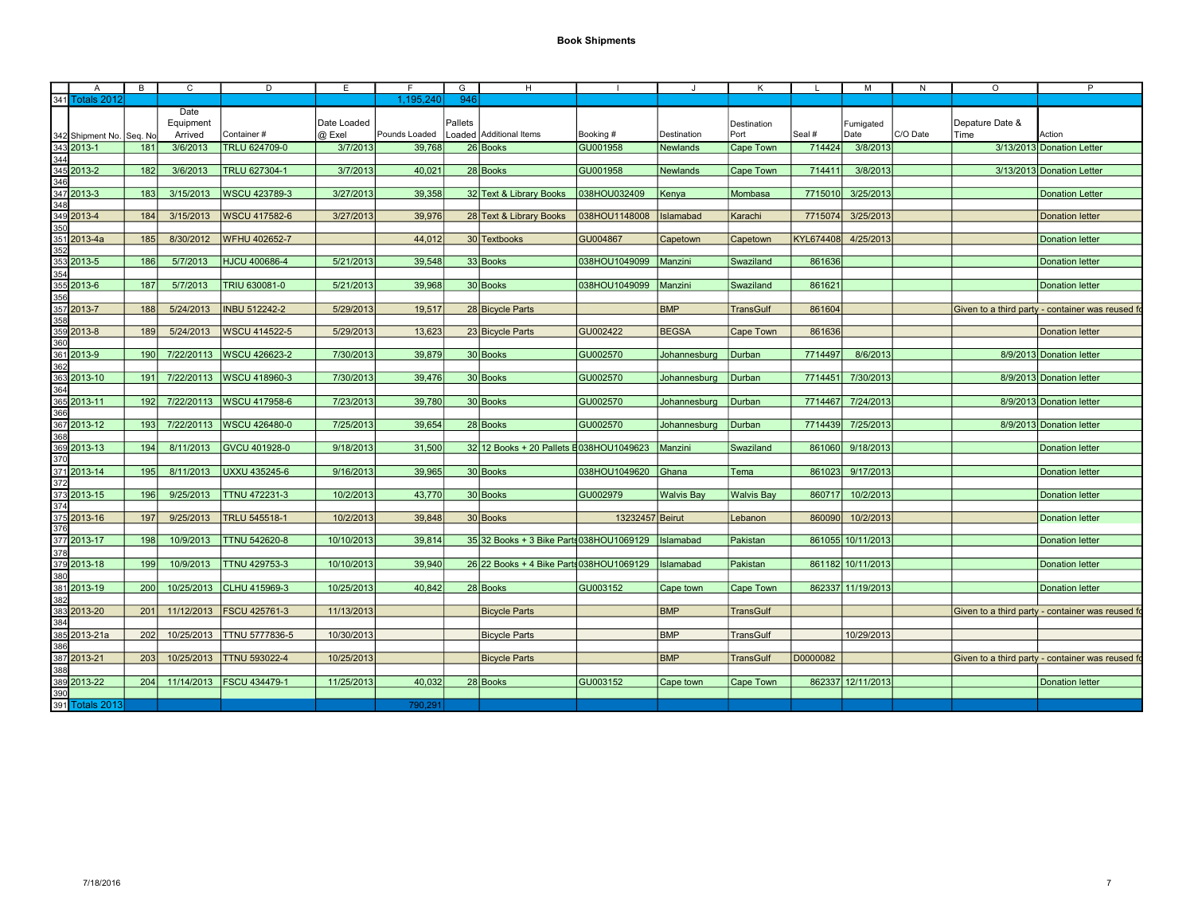| 341 Totals 2012<br>946<br>1.195.240<br>Date<br>Equipment<br>Date Loaded<br>Pallets<br>Destination<br>Fumigated<br>C/O Date<br>@ Exel<br>Loaded Additional Items<br>342 Shipment No. Seq. No<br>Arrived<br>Container#<br>Pounds Loaded<br>Booking #<br>Port<br>Seal #<br>Date<br>l Time<br>Destination<br>343 2013-1<br>181<br>3/6/2013<br><b>TRLU 624709-0</b><br>3/7/2013<br>39.768<br>26 Books<br>GU001958<br>714424<br>3/8/2013<br><b>Newlands</b><br>Cape Town<br>344<br>345 2013-2<br>182<br>3/6/2013<br>TRLU 627304-1<br>3/7/2013<br>40.021<br>28 Books<br><b>GU001958</b><br>714411<br>3/8/2013<br><b>Newlands</b><br><b>Cape Town</b><br>346<br>347 2013-3<br>183<br>3/15/2013<br>WSCU 423789-3<br>3/27/2013<br>39,358<br>32 Text & Library Books<br>038HOU032409<br>7715010<br>3/25/2013<br>Kenya<br>Mombasa<br>348<br>349 2013-4<br>3/15/2013<br>3/27/2013<br>39,976<br>28 Text & Library Books<br>7715074 3/25/2013<br>184<br>WSCU 417582-6<br>038HOU1148008   Islamabad<br>Karachi<br>350<br>351 2013-4a<br><b>GU004867</b><br>KYL674408 4/25/2013<br>185<br>8/30/2012<br><b>WFHU 402652-7</b><br>44,012<br>30 Textbooks<br>Capetown<br>Capetown<br>352<br>353 2013-5<br>5/7/2013<br>186<br>HJCU 400686-4<br>5/21/2013<br>39,548<br>33 Books<br>038HOU1049099<br>861636<br>Manzini<br>Swaziland<br>354<br>355 2013-6<br>5/7/2013<br>5/21/2013<br>39,968<br>038HOU1049099   Manzini<br>861621<br>187<br>TRIU 630081-0<br>30 Books<br>Swaziland<br>356<br>357 2013-7<br>5/24/2013<br>5/29/2013<br><b>BMP</b><br>188<br><b>INBU 512242-2</b><br>19,517<br>28 Bicycle Parts<br><b>TransGulf</b><br>861604<br>358<br>359 2013-8<br>WSCU 414522-5<br>5/29/2013<br>13.623<br><b>GU002422</b><br><b>BEGSA</b><br>861636<br>189<br>5/24/2013<br>23 Bicycle Parts<br>Cape Town<br>360<br>361 2013-9<br>30 Books<br>7714497<br>190<br>7/22/20113 WSCU 426623-2<br>7/30/2013<br>39,879<br>GU002570<br>8/6/2013<br>Johannesburg<br>Durban<br>362<br>363 2013-10<br>7/22/20113   WSCU 418960-3<br>7/30/2013<br>39.476<br>7714451<br>7/30/2013<br>191<br>30 Books<br><b>GU002570</b><br>Johannesburg<br>Durban<br>364<br>365 2013-11<br>7/22/20113   WSCU 417958-6<br>7714467 7/24/2013<br>192<br>7/23/2013<br>39,780<br>30 Books<br><b>GU002570</b><br>Johannesburg<br>Durban<br>366<br>367 2013-12<br>7/22/20113   WSCU 426480-0<br>7/25/2013<br>39.654<br>7714439<br>7/25/2013<br>193<br>28 Books<br><b>GU002570</b><br>Durban<br>Johannesburg<br>368<br>369 2013-13<br><b>GVCU 401928-0</b><br>9/18/2013<br>32 12 Books + 20 Pallets E038HOU1049623<br>861060 9/18/2013<br>194<br>8/11/2013<br>31,500<br>Manzini<br>Swaziland<br>370<br>371 2013-14<br>8/11/2013<br>UXXU 435245-6<br>9/16/2013<br>39.965<br>30 Books<br>038HOU1049620<br>861023<br>9/17/2013<br>195<br><b>Ghana</b><br>Tema<br>372<br>373 2013-15<br>9/25/2013<br><b>TTNU 472231-3</b><br>10/2/2013<br>43,770<br>860717 10/2/2013<br>196<br>30 Books<br>GU002979<br><b>Walvis Bav</b><br><b>Walvis Bay</b><br>374<br>375 2013-16<br>TRLU 545518-1<br>39,848<br>13232457 Beirut<br>10/2/2013<br>197<br>9/25/2013<br>10/2/2013<br>30 Books<br>860090<br>Lebanon<br>376<br>377 2013-17<br>35 32 Books + 3 Bike Parts 038 HOU 1069129<br>861055 10/11/2013<br>198<br>10/9/2013<br><b>ITTNU 542620-8</b><br>10/10/2013<br>39,814<br>Islamabad<br>Pakistan<br>378<br>379 2013-18<br>10/9/2013<br><b>TTNU 429753-3</b><br>10/10/2013<br>39,940<br>26 22 Books + 4 Bike Parts 038HOU1069129<br>861182 10/11/2013<br>199<br>Islamabad<br>Pakistan<br>380<br>381 2013-19<br>10/25/2013 CLHU 415969-3<br>10/25/2013<br>40,842<br>28 Books<br>862337 11/19/2013<br>200<br>GU003152<br>Cape town<br>Cape Town<br>382<br>383 2013-20<br>201<br>11/12/2013   FSCU 425761-3<br>11/13/2013<br><b>BMP</b><br><b>TransGulf</b><br><b>Bicycle Parts</b><br>384<br>385 2013-21a<br>202<br>10/25/2013   TTNU 5777836-5<br>10/30/2013<br><b>BMP</b><br>10/29/2013<br><b>TransGulf</b><br><b>Bicycle Parts</b><br>386 | P                                                | $\circ$         | N | м | L.       | K | J.         | H | G | F. | Е          | D | C | B   | A |  |
|----------------------------------------------------------------------------------------------------------------------------------------------------------------------------------------------------------------------------------------------------------------------------------------------------------------------------------------------------------------------------------------------------------------------------------------------------------------------------------------------------------------------------------------------------------------------------------------------------------------------------------------------------------------------------------------------------------------------------------------------------------------------------------------------------------------------------------------------------------------------------------------------------------------------------------------------------------------------------------------------------------------------------------------------------------------------------------------------------------------------------------------------------------------------------------------------------------------------------------------------------------------------------------------------------------------------------------------------------------------------------------------------------------------------------------------------------------------------------------------------------------------------------------------------------------------------------------------------------------------------------------------------------------------------------------------------------------------------------------------------------------------------------------------------------------------------------------------------------------------------------------------------------------------------------------------------------------------------------------------------------------------------------------------------------------------------------------------------------------------------------------------------------------------------------------------------------------------------------------------------------------------------------------------------------------------------------------------------------------------------------------------------------------------------------------------------------------------------------------------------------------------------------------------------------------------------------------------------------------------------------------------------------------------------------------------------------------------------------------------------------------------------------------------------------------------------------------------------------------------------------------------------------------------------------------------------------------------------------------------------------------------------------------------------------------------------------------------------------------------------------------------------------------------------------------------------------------------------------------------------------------------------------------------------------------------------------------------------------------------------------------------------------------------------------------------------------------------------------------------------------------------------------------------------------------------------------------------------------------------------------------------------------------------------------------------------------------------------------------------------------------------------------------------------------------------------------------------------------------------------------------------------------------------------------------------------------------------|--------------------------------------------------|-----------------|---|---|----------|---|------------|---|---|----|------------|---|---|-----|---|--|
|                                                                                                                                                                                                                                                                                                                                                                                                                                                                                                                                                                                                                                                                                                                                                                                                                                                                                                                                                                                                                                                                                                                                                                                                                                                                                                                                                                                                                                                                                                                                                                                                                                                                                                                                                                                                                                                                                                                                                                                                                                                                                                                                                                                                                                                                                                                                                                                                                                                                                                                                                                                                                                                                                                                                                                                                                                                                                                                                                                                                                                                                                                                                                                                                                                                                                                                                                                                                                                                                                                                                                                                                                                                                                                                                                                                                                                                                                                                                                                |                                                  |                 |   |   |          |   |            |   |   |    |            |   |   |     |   |  |
|                                                                                                                                                                                                                                                                                                                                                                                                                                                                                                                                                                                                                                                                                                                                                                                                                                                                                                                                                                                                                                                                                                                                                                                                                                                                                                                                                                                                                                                                                                                                                                                                                                                                                                                                                                                                                                                                                                                                                                                                                                                                                                                                                                                                                                                                                                                                                                                                                                                                                                                                                                                                                                                                                                                                                                                                                                                                                                                                                                                                                                                                                                                                                                                                                                                                                                                                                                                                                                                                                                                                                                                                                                                                                                                                                                                                                                                                                                                                                                | Action                                           | Depature Date & |   |   |          |   |            |   |   |    |            |   |   |     |   |  |
|                                                                                                                                                                                                                                                                                                                                                                                                                                                                                                                                                                                                                                                                                                                                                                                                                                                                                                                                                                                                                                                                                                                                                                                                                                                                                                                                                                                                                                                                                                                                                                                                                                                                                                                                                                                                                                                                                                                                                                                                                                                                                                                                                                                                                                                                                                                                                                                                                                                                                                                                                                                                                                                                                                                                                                                                                                                                                                                                                                                                                                                                                                                                                                                                                                                                                                                                                                                                                                                                                                                                                                                                                                                                                                                                                                                                                                                                                                                                                                | 3/13/2013 Donation Letter                        |                 |   |   |          |   |            |   |   |    |            |   |   |     |   |  |
|                                                                                                                                                                                                                                                                                                                                                                                                                                                                                                                                                                                                                                                                                                                                                                                                                                                                                                                                                                                                                                                                                                                                                                                                                                                                                                                                                                                                                                                                                                                                                                                                                                                                                                                                                                                                                                                                                                                                                                                                                                                                                                                                                                                                                                                                                                                                                                                                                                                                                                                                                                                                                                                                                                                                                                                                                                                                                                                                                                                                                                                                                                                                                                                                                                                                                                                                                                                                                                                                                                                                                                                                                                                                                                                                                                                                                                                                                                                                                                |                                                  |                 |   |   |          |   |            |   |   |    |            |   |   |     |   |  |
|                                                                                                                                                                                                                                                                                                                                                                                                                                                                                                                                                                                                                                                                                                                                                                                                                                                                                                                                                                                                                                                                                                                                                                                                                                                                                                                                                                                                                                                                                                                                                                                                                                                                                                                                                                                                                                                                                                                                                                                                                                                                                                                                                                                                                                                                                                                                                                                                                                                                                                                                                                                                                                                                                                                                                                                                                                                                                                                                                                                                                                                                                                                                                                                                                                                                                                                                                                                                                                                                                                                                                                                                                                                                                                                                                                                                                                                                                                                                                                | 3/13/2013 Donation Letter                        |                 |   |   |          |   |            |   |   |    |            |   |   |     |   |  |
|                                                                                                                                                                                                                                                                                                                                                                                                                                                                                                                                                                                                                                                                                                                                                                                                                                                                                                                                                                                                                                                                                                                                                                                                                                                                                                                                                                                                                                                                                                                                                                                                                                                                                                                                                                                                                                                                                                                                                                                                                                                                                                                                                                                                                                                                                                                                                                                                                                                                                                                                                                                                                                                                                                                                                                                                                                                                                                                                                                                                                                                                                                                                                                                                                                                                                                                                                                                                                                                                                                                                                                                                                                                                                                                                                                                                                                                                                                                                                                |                                                  |                 |   |   |          |   |            |   |   |    |            |   |   |     |   |  |
|                                                                                                                                                                                                                                                                                                                                                                                                                                                                                                                                                                                                                                                                                                                                                                                                                                                                                                                                                                                                                                                                                                                                                                                                                                                                                                                                                                                                                                                                                                                                                                                                                                                                                                                                                                                                                                                                                                                                                                                                                                                                                                                                                                                                                                                                                                                                                                                                                                                                                                                                                                                                                                                                                                                                                                                                                                                                                                                                                                                                                                                                                                                                                                                                                                                                                                                                                                                                                                                                                                                                                                                                                                                                                                                                                                                                                                                                                                                                                                | <b>Donation Letter</b>                           |                 |   |   |          |   |            |   |   |    |            |   |   |     |   |  |
|                                                                                                                                                                                                                                                                                                                                                                                                                                                                                                                                                                                                                                                                                                                                                                                                                                                                                                                                                                                                                                                                                                                                                                                                                                                                                                                                                                                                                                                                                                                                                                                                                                                                                                                                                                                                                                                                                                                                                                                                                                                                                                                                                                                                                                                                                                                                                                                                                                                                                                                                                                                                                                                                                                                                                                                                                                                                                                                                                                                                                                                                                                                                                                                                                                                                                                                                                                                                                                                                                                                                                                                                                                                                                                                                                                                                                                                                                                                                                                |                                                  |                 |   |   |          |   |            |   |   |    |            |   |   |     |   |  |
|                                                                                                                                                                                                                                                                                                                                                                                                                                                                                                                                                                                                                                                                                                                                                                                                                                                                                                                                                                                                                                                                                                                                                                                                                                                                                                                                                                                                                                                                                                                                                                                                                                                                                                                                                                                                                                                                                                                                                                                                                                                                                                                                                                                                                                                                                                                                                                                                                                                                                                                                                                                                                                                                                                                                                                                                                                                                                                                                                                                                                                                                                                                                                                                                                                                                                                                                                                                                                                                                                                                                                                                                                                                                                                                                                                                                                                                                                                                                                                | <b>Donation letter</b>                           |                 |   |   |          |   |            |   |   |    |            |   |   |     |   |  |
|                                                                                                                                                                                                                                                                                                                                                                                                                                                                                                                                                                                                                                                                                                                                                                                                                                                                                                                                                                                                                                                                                                                                                                                                                                                                                                                                                                                                                                                                                                                                                                                                                                                                                                                                                                                                                                                                                                                                                                                                                                                                                                                                                                                                                                                                                                                                                                                                                                                                                                                                                                                                                                                                                                                                                                                                                                                                                                                                                                                                                                                                                                                                                                                                                                                                                                                                                                                                                                                                                                                                                                                                                                                                                                                                                                                                                                                                                                                                                                |                                                  |                 |   |   |          |   |            |   |   |    |            |   |   |     |   |  |
|                                                                                                                                                                                                                                                                                                                                                                                                                                                                                                                                                                                                                                                                                                                                                                                                                                                                                                                                                                                                                                                                                                                                                                                                                                                                                                                                                                                                                                                                                                                                                                                                                                                                                                                                                                                                                                                                                                                                                                                                                                                                                                                                                                                                                                                                                                                                                                                                                                                                                                                                                                                                                                                                                                                                                                                                                                                                                                                                                                                                                                                                                                                                                                                                                                                                                                                                                                                                                                                                                                                                                                                                                                                                                                                                                                                                                                                                                                                                                                | <b>Donation letter</b>                           |                 |   |   |          |   |            |   |   |    |            |   |   |     |   |  |
|                                                                                                                                                                                                                                                                                                                                                                                                                                                                                                                                                                                                                                                                                                                                                                                                                                                                                                                                                                                                                                                                                                                                                                                                                                                                                                                                                                                                                                                                                                                                                                                                                                                                                                                                                                                                                                                                                                                                                                                                                                                                                                                                                                                                                                                                                                                                                                                                                                                                                                                                                                                                                                                                                                                                                                                                                                                                                                                                                                                                                                                                                                                                                                                                                                                                                                                                                                                                                                                                                                                                                                                                                                                                                                                                                                                                                                                                                                                                                                |                                                  |                 |   |   |          |   |            |   |   |    |            |   |   |     |   |  |
|                                                                                                                                                                                                                                                                                                                                                                                                                                                                                                                                                                                                                                                                                                                                                                                                                                                                                                                                                                                                                                                                                                                                                                                                                                                                                                                                                                                                                                                                                                                                                                                                                                                                                                                                                                                                                                                                                                                                                                                                                                                                                                                                                                                                                                                                                                                                                                                                                                                                                                                                                                                                                                                                                                                                                                                                                                                                                                                                                                                                                                                                                                                                                                                                                                                                                                                                                                                                                                                                                                                                                                                                                                                                                                                                                                                                                                                                                                                                                                | <b>Donation letter</b>                           |                 |   |   |          |   |            |   |   |    |            |   |   |     |   |  |
|                                                                                                                                                                                                                                                                                                                                                                                                                                                                                                                                                                                                                                                                                                                                                                                                                                                                                                                                                                                                                                                                                                                                                                                                                                                                                                                                                                                                                                                                                                                                                                                                                                                                                                                                                                                                                                                                                                                                                                                                                                                                                                                                                                                                                                                                                                                                                                                                                                                                                                                                                                                                                                                                                                                                                                                                                                                                                                                                                                                                                                                                                                                                                                                                                                                                                                                                                                                                                                                                                                                                                                                                                                                                                                                                                                                                                                                                                                                                                                |                                                  |                 |   |   |          |   |            |   |   |    |            |   |   |     |   |  |
|                                                                                                                                                                                                                                                                                                                                                                                                                                                                                                                                                                                                                                                                                                                                                                                                                                                                                                                                                                                                                                                                                                                                                                                                                                                                                                                                                                                                                                                                                                                                                                                                                                                                                                                                                                                                                                                                                                                                                                                                                                                                                                                                                                                                                                                                                                                                                                                                                                                                                                                                                                                                                                                                                                                                                                                                                                                                                                                                                                                                                                                                                                                                                                                                                                                                                                                                                                                                                                                                                                                                                                                                                                                                                                                                                                                                                                                                                                                                                                | <b>Donation letter</b>                           |                 |   |   |          |   |            |   |   |    |            |   |   |     |   |  |
|                                                                                                                                                                                                                                                                                                                                                                                                                                                                                                                                                                                                                                                                                                                                                                                                                                                                                                                                                                                                                                                                                                                                                                                                                                                                                                                                                                                                                                                                                                                                                                                                                                                                                                                                                                                                                                                                                                                                                                                                                                                                                                                                                                                                                                                                                                                                                                                                                                                                                                                                                                                                                                                                                                                                                                                                                                                                                                                                                                                                                                                                                                                                                                                                                                                                                                                                                                                                                                                                                                                                                                                                                                                                                                                                                                                                                                                                                                                                                                |                                                  |                 |   |   |          |   |            |   |   |    |            |   |   |     |   |  |
|                                                                                                                                                                                                                                                                                                                                                                                                                                                                                                                                                                                                                                                                                                                                                                                                                                                                                                                                                                                                                                                                                                                                                                                                                                                                                                                                                                                                                                                                                                                                                                                                                                                                                                                                                                                                                                                                                                                                                                                                                                                                                                                                                                                                                                                                                                                                                                                                                                                                                                                                                                                                                                                                                                                                                                                                                                                                                                                                                                                                                                                                                                                                                                                                                                                                                                                                                                                                                                                                                                                                                                                                                                                                                                                                                                                                                                                                                                                                                                | Given to a third party - container was reused fo |                 |   |   |          |   |            |   |   |    |            |   |   |     |   |  |
|                                                                                                                                                                                                                                                                                                                                                                                                                                                                                                                                                                                                                                                                                                                                                                                                                                                                                                                                                                                                                                                                                                                                                                                                                                                                                                                                                                                                                                                                                                                                                                                                                                                                                                                                                                                                                                                                                                                                                                                                                                                                                                                                                                                                                                                                                                                                                                                                                                                                                                                                                                                                                                                                                                                                                                                                                                                                                                                                                                                                                                                                                                                                                                                                                                                                                                                                                                                                                                                                                                                                                                                                                                                                                                                                                                                                                                                                                                                                                                |                                                  |                 |   |   |          |   |            |   |   |    |            |   |   |     |   |  |
|                                                                                                                                                                                                                                                                                                                                                                                                                                                                                                                                                                                                                                                                                                                                                                                                                                                                                                                                                                                                                                                                                                                                                                                                                                                                                                                                                                                                                                                                                                                                                                                                                                                                                                                                                                                                                                                                                                                                                                                                                                                                                                                                                                                                                                                                                                                                                                                                                                                                                                                                                                                                                                                                                                                                                                                                                                                                                                                                                                                                                                                                                                                                                                                                                                                                                                                                                                                                                                                                                                                                                                                                                                                                                                                                                                                                                                                                                                                                                                | <b>Donation letter</b>                           |                 |   |   |          |   |            |   |   |    |            |   |   |     |   |  |
|                                                                                                                                                                                                                                                                                                                                                                                                                                                                                                                                                                                                                                                                                                                                                                                                                                                                                                                                                                                                                                                                                                                                                                                                                                                                                                                                                                                                                                                                                                                                                                                                                                                                                                                                                                                                                                                                                                                                                                                                                                                                                                                                                                                                                                                                                                                                                                                                                                                                                                                                                                                                                                                                                                                                                                                                                                                                                                                                                                                                                                                                                                                                                                                                                                                                                                                                                                                                                                                                                                                                                                                                                                                                                                                                                                                                                                                                                                                                                                |                                                  |                 |   |   |          |   |            |   |   |    |            |   |   |     |   |  |
|                                                                                                                                                                                                                                                                                                                                                                                                                                                                                                                                                                                                                                                                                                                                                                                                                                                                                                                                                                                                                                                                                                                                                                                                                                                                                                                                                                                                                                                                                                                                                                                                                                                                                                                                                                                                                                                                                                                                                                                                                                                                                                                                                                                                                                                                                                                                                                                                                                                                                                                                                                                                                                                                                                                                                                                                                                                                                                                                                                                                                                                                                                                                                                                                                                                                                                                                                                                                                                                                                                                                                                                                                                                                                                                                                                                                                                                                                                                                                                | 8/9/2013 Donation letter                         |                 |   |   |          |   |            |   |   |    |            |   |   |     |   |  |
|                                                                                                                                                                                                                                                                                                                                                                                                                                                                                                                                                                                                                                                                                                                                                                                                                                                                                                                                                                                                                                                                                                                                                                                                                                                                                                                                                                                                                                                                                                                                                                                                                                                                                                                                                                                                                                                                                                                                                                                                                                                                                                                                                                                                                                                                                                                                                                                                                                                                                                                                                                                                                                                                                                                                                                                                                                                                                                                                                                                                                                                                                                                                                                                                                                                                                                                                                                                                                                                                                                                                                                                                                                                                                                                                                                                                                                                                                                                                                                |                                                  |                 |   |   |          |   |            |   |   |    |            |   |   |     |   |  |
|                                                                                                                                                                                                                                                                                                                                                                                                                                                                                                                                                                                                                                                                                                                                                                                                                                                                                                                                                                                                                                                                                                                                                                                                                                                                                                                                                                                                                                                                                                                                                                                                                                                                                                                                                                                                                                                                                                                                                                                                                                                                                                                                                                                                                                                                                                                                                                                                                                                                                                                                                                                                                                                                                                                                                                                                                                                                                                                                                                                                                                                                                                                                                                                                                                                                                                                                                                                                                                                                                                                                                                                                                                                                                                                                                                                                                                                                                                                                                                | 8/9/2013 Donation letter                         |                 |   |   |          |   |            |   |   |    |            |   |   |     |   |  |
|                                                                                                                                                                                                                                                                                                                                                                                                                                                                                                                                                                                                                                                                                                                                                                                                                                                                                                                                                                                                                                                                                                                                                                                                                                                                                                                                                                                                                                                                                                                                                                                                                                                                                                                                                                                                                                                                                                                                                                                                                                                                                                                                                                                                                                                                                                                                                                                                                                                                                                                                                                                                                                                                                                                                                                                                                                                                                                                                                                                                                                                                                                                                                                                                                                                                                                                                                                                                                                                                                                                                                                                                                                                                                                                                                                                                                                                                                                                                                                |                                                  |                 |   |   |          |   |            |   |   |    |            |   |   |     |   |  |
|                                                                                                                                                                                                                                                                                                                                                                                                                                                                                                                                                                                                                                                                                                                                                                                                                                                                                                                                                                                                                                                                                                                                                                                                                                                                                                                                                                                                                                                                                                                                                                                                                                                                                                                                                                                                                                                                                                                                                                                                                                                                                                                                                                                                                                                                                                                                                                                                                                                                                                                                                                                                                                                                                                                                                                                                                                                                                                                                                                                                                                                                                                                                                                                                                                                                                                                                                                                                                                                                                                                                                                                                                                                                                                                                                                                                                                                                                                                                                                | 8/9/2013 Donation letter                         |                 |   |   |          |   |            |   |   |    |            |   |   |     |   |  |
|                                                                                                                                                                                                                                                                                                                                                                                                                                                                                                                                                                                                                                                                                                                                                                                                                                                                                                                                                                                                                                                                                                                                                                                                                                                                                                                                                                                                                                                                                                                                                                                                                                                                                                                                                                                                                                                                                                                                                                                                                                                                                                                                                                                                                                                                                                                                                                                                                                                                                                                                                                                                                                                                                                                                                                                                                                                                                                                                                                                                                                                                                                                                                                                                                                                                                                                                                                                                                                                                                                                                                                                                                                                                                                                                                                                                                                                                                                                                                                |                                                  |                 |   |   |          |   |            |   |   |    |            |   |   |     |   |  |
|                                                                                                                                                                                                                                                                                                                                                                                                                                                                                                                                                                                                                                                                                                                                                                                                                                                                                                                                                                                                                                                                                                                                                                                                                                                                                                                                                                                                                                                                                                                                                                                                                                                                                                                                                                                                                                                                                                                                                                                                                                                                                                                                                                                                                                                                                                                                                                                                                                                                                                                                                                                                                                                                                                                                                                                                                                                                                                                                                                                                                                                                                                                                                                                                                                                                                                                                                                                                                                                                                                                                                                                                                                                                                                                                                                                                                                                                                                                                                                | 8/9/2013 Donation letter                         |                 |   |   |          |   |            |   |   |    |            |   |   |     |   |  |
|                                                                                                                                                                                                                                                                                                                                                                                                                                                                                                                                                                                                                                                                                                                                                                                                                                                                                                                                                                                                                                                                                                                                                                                                                                                                                                                                                                                                                                                                                                                                                                                                                                                                                                                                                                                                                                                                                                                                                                                                                                                                                                                                                                                                                                                                                                                                                                                                                                                                                                                                                                                                                                                                                                                                                                                                                                                                                                                                                                                                                                                                                                                                                                                                                                                                                                                                                                                                                                                                                                                                                                                                                                                                                                                                                                                                                                                                                                                                                                |                                                  |                 |   |   |          |   |            |   |   |    |            |   |   |     |   |  |
|                                                                                                                                                                                                                                                                                                                                                                                                                                                                                                                                                                                                                                                                                                                                                                                                                                                                                                                                                                                                                                                                                                                                                                                                                                                                                                                                                                                                                                                                                                                                                                                                                                                                                                                                                                                                                                                                                                                                                                                                                                                                                                                                                                                                                                                                                                                                                                                                                                                                                                                                                                                                                                                                                                                                                                                                                                                                                                                                                                                                                                                                                                                                                                                                                                                                                                                                                                                                                                                                                                                                                                                                                                                                                                                                                                                                                                                                                                                                                                | <b>Donation letter</b>                           |                 |   |   |          |   |            |   |   |    |            |   |   |     |   |  |
|                                                                                                                                                                                                                                                                                                                                                                                                                                                                                                                                                                                                                                                                                                                                                                                                                                                                                                                                                                                                                                                                                                                                                                                                                                                                                                                                                                                                                                                                                                                                                                                                                                                                                                                                                                                                                                                                                                                                                                                                                                                                                                                                                                                                                                                                                                                                                                                                                                                                                                                                                                                                                                                                                                                                                                                                                                                                                                                                                                                                                                                                                                                                                                                                                                                                                                                                                                                                                                                                                                                                                                                                                                                                                                                                                                                                                                                                                                                                                                |                                                  |                 |   |   |          |   |            |   |   |    |            |   |   |     |   |  |
|                                                                                                                                                                                                                                                                                                                                                                                                                                                                                                                                                                                                                                                                                                                                                                                                                                                                                                                                                                                                                                                                                                                                                                                                                                                                                                                                                                                                                                                                                                                                                                                                                                                                                                                                                                                                                                                                                                                                                                                                                                                                                                                                                                                                                                                                                                                                                                                                                                                                                                                                                                                                                                                                                                                                                                                                                                                                                                                                                                                                                                                                                                                                                                                                                                                                                                                                                                                                                                                                                                                                                                                                                                                                                                                                                                                                                                                                                                                                                                | <b>Donation letter</b>                           |                 |   |   |          |   |            |   |   |    |            |   |   |     |   |  |
|                                                                                                                                                                                                                                                                                                                                                                                                                                                                                                                                                                                                                                                                                                                                                                                                                                                                                                                                                                                                                                                                                                                                                                                                                                                                                                                                                                                                                                                                                                                                                                                                                                                                                                                                                                                                                                                                                                                                                                                                                                                                                                                                                                                                                                                                                                                                                                                                                                                                                                                                                                                                                                                                                                                                                                                                                                                                                                                                                                                                                                                                                                                                                                                                                                                                                                                                                                                                                                                                                                                                                                                                                                                                                                                                                                                                                                                                                                                                                                |                                                  |                 |   |   |          |   |            |   |   |    |            |   |   |     |   |  |
|                                                                                                                                                                                                                                                                                                                                                                                                                                                                                                                                                                                                                                                                                                                                                                                                                                                                                                                                                                                                                                                                                                                                                                                                                                                                                                                                                                                                                                                                                                                                                                                                                                                                                                                                                                                                                                                                                                                                                                                                                                                                                                                                                                                                                                                                                                                                                                                                                                                                                                                                                                                                                                                                                                                                                                                                                                                                                                                                                                                                                                                                                                                                                                                                                                                                                                                                                                                                                                                                                                                                                                                                                                                                                                                                                                                                                                                                                                                                                                | <b>Donation letter</b>                           |                 |   |   |          |   |            |   |   |    |            |   |   |     |   |  |
|                                                                                                                                                                                                                                                                                                                                                                                                                                                                                                                                                                                                                                                                                                                                                                                                                                                                                                                                                                                                                                                                                                                                                                                                                                                                                                                                                                                                                                                                                                                                                                                                                                                                                                                                                                                                                                                                                                                                                                                                                                                                                                                                                                                                                                                                                                                                                                                                                                                                                                                                                                                                                                                                                                                                                                                                                                                                                                                                                                                                                                                                                                                                                                                                                                                                                                                                                                                                                                                                                                                                                                                                                                                                                                                                                                                                                                                                                                                                                                |                                                  |                 |   |   |          |   |            |   |   |    |            |   |   |     |   |  |
|                                                                                                                                                                                                                                                                                                                                                                                                                                                                                                                                                                                                                                                                                                                                                                                                                                                                                                                                                                                                                                                                                                                                                                                                                                                                                                                                                                                                                                                                                                                                                                                                                                                                                                                                                                                                                                                                                                                                                                                                                                                                                                                                                                                                                                                                                                                                                                                                                                                                                                                                                                                                                                                                                                                                                                                                                                                                                                                                                                                                                                                                                                                                                                                                                                                                                                                                                                                                                                                                                                                                                                                                                                                                                                                                                                                                                                                                                                                                                                | <b>Donation letter</b>                           |                 |   |   |          |   |            |   |   |    |            |   |   |     |   |  |
|                                                                                                                                                                                                                                                                                                                                                                                                                                                                                                                                                                                                                                                                                                                                                                                                                                                                                                                                                                                                                                                                                                                                                                                                                                                                                                                                                                                                                                                                                                                                                                                                                                                                                                                                                                                                                                                                                                                                                                                                                                                                                                                                                                                                                                                                                                                                                                                                                                                                                                                                                                                                                                                                                                                                                                                                                                                                                                                                                                                                                                                                                                                                                                                                                                                                                                                                                                                                                                                                                                                                                                                                                                                                                                                                                                                                                                                                                                                                                                |                                                  |                 |   |   |          |   |            |   |   |    |            |   |   |     |   |  |
|                                                                                                                                                                                                                                                                                                                                                                                                                                                                                                                                                                                                                                                                                                                                                                                                                                                                                                                                                                                                                                                                                                                                                                                                                                                                                                                                                                                                                                                                                                                                                                                                                                                                                                                                                                                                                                                                                                                                                                                                                                                                                                                                                                                                                                                                                                                                                                                                                                                                                                                                                                                                                                                                                                                                                                                                                                                                                                                                                                                                                                                                                                                                                                                                                                                                                                                                                                                                                                                                                                                                                                                                                                                                                                                                                                                                                                                                                                                                                                | <b>Donation letter</b>                           |                 |   |   |          |   |            |   |   |    |            |   |   |     |   |  |
|                                                                                                                                                                                                                                                                                                                                                                                                                                                                                                                                                                                                                                                                                                                                                                                                                                                                                                                                                                                                                                                                                                                                                                                                                                                                                                                                                                                                                                                                                                                                                                                                                                                                                                                                                                                                                                                                                                                                                                                                                                                                                                                                                                                                                                                                                                                                                                                                                                                                                                                                                                                                                                                                                                                                                                                                                                                                                                                                                                                                                                                                                                                                                                                                                                                                                                                                                                                                                                                                                                                                                                                                                                                                                                                                                                                                                                                                                                                                                                |                                                  |                 |   |   |          |   |            |   |   |    |            |   |   |     |   |  |
|                                                                                                                                                                                                                                                                                                                                                                                                                                                                                                                                                                                                                                                                                                                                                                                                                                                                                                                                                                                                                                                                                                                                                                                                                                                                                                                                                                                                                                                                                                                                                                                                                                                                                                                                                                                                                                                                                                                                                                                                                                                                                                                                                                                                                                                                                                                                                                                                                                                                                                                                                                                                                                                                                                                                                                                                                                                                                                                                                                                                                                                                                                                                                                                                                                                                                                                                                                                                                                                                                                                                                                                                                                                                                                                                                                                                                                                                                                                                                                | <b>Donation letter</b>                           |                 |   |   |          |   |            |   |   |    |            |   |   |     |   |  |
|                                                                                                                                                                                                                                                                                                                                                                                                                                                                                                                                                                                                                                                                                                                                                                                                                                                                                                                                                                                                                                                                                                                                                                                                                                                                                                                                                                                                                                                                                                                                                                                                                                                                                                                                                                                                                                                                                                                                                                                                                                                                                                                                                                                                                                                                                                                                                                                                                                                                                                                                                                                                                                                                                                                                                                                                                                                                                                                                                                                                                                                                                                                                                                                                                                                                                                                                                                                                                                                                                                                                                                                                                                                                                                                                                                                                                                                                                                                                                                |                                                  |                 |   |   |          |   |            |   |   |    |            |   |   |     |   |  |
|                                                                                                                                                                                                                                                                                                                                                                                                                                                                                                                                                                                                                                                                                                                                                                                                                                                                                                                                                                                                                                                                                                                                                                                                                                                                                                                                                                                                                                                                                                                                                                                                                                                                                                                                                                                                                                                                                                                                                                                                                                                                                                                                                                                                                                                                                                                                                                                                                                                                                                                                                                                                                                                                                                                                                                                                                                                                                                                                                                                                                                                                                                                                                                                                                                                                                                                                                                                                                                                                                                                                                                                                                                                                                                                                                                                                                                                                                                                                                                | <b>Donation letter</b>                           |                 |   |   |          |   |            |   |   |    |            |   |   |     |   |  |
|                                                                                                                                                                                                                                                                                                                                                                                                                                                                                                                                                                                                                                                                                                                                                                                                                                                                                                                                                                                                                                                                                                                                                                                                                                                                                                                                                                                                                                                                                                                                                                                                                                                                                                                                                                                                                                                                                                                                                                                                                                                                                                                                                                                                                                                                                                                                                                                                                                                                                                                                                                                                                                                                                                                                                                                                                                                                                                                                                                                                                                                                                                                                                                                                                                                                                                                                                                                                                                                                                                                                                                                                                                                                                                                                                                                                                                                                                                                                                                |                                                  |                 |   |   |          |   |            |   |   |    |            |   |   |     |   |  |
|                                                                                                                                                                                                                                                                                                                                                                                                                                                                                                                                                                                                                                                                                                                                                                                                                                                                                                                                                                                                                                                                                                                                                                                                                                                                                                                                                                                                                                                                                                                                                                                                                                                                                                                                                                                                                                                                                                                                                                                                                                                                                                                                                                                                                                                                                                                                                                                                                                                                                                                                                                                                                                                                                                                                                                                                                                                                                                                                                                                                                                                                                                                                                                                                                                                                                                                                                                                                                                                                                                                                                                                                                                                                                                                                                                                                                                                                                                                                                                | Given to a third party - container was reused t  |                 |   |   |          |   |            |   |   |    |            |   |   |     |   |  |
|                                                                                                                                                                                                                                                                                                                                                                                                                                                                                                                                                                                                                                                                                                                                                                                                                                                                                                                                                                                                                                                                                                                                                                                                                                                                                                                                                                                                                                                                                                                                                                                                                                                                                                                                                                                                                                                                                                                                                                                                                                                                                                                                                                                                                                                                                                                                                                                                                                                                                                                                                                                                                                                                                                                                                                                                                                                                                                                                                                                                                                                                                                                                                                                                                                                                                                                                                                                                                                                                                                                                                                                                                                                                                                                                                                                                                                                                                                                                                                |                                                  |                 |   |   |          |   |            |   |   |    |            |   |   |     |   |  |
|                                                                                                                                                                                                                                                                                                                                                                                                                                                                                                                                                                                                                                                                                                                                                                                                                                                                                                                                                                                                                                                                                                                                                                                                                                                                                                                                                                                                                                                                                                                                                                                                                                                                                                                                                                                                                                                                                                                                                                                                                                                                                                                                                                                                                                                                                                                                                                                                                                                                                                                                                                                                                                                                                                                                                                                                                                                                                                                                                                                                                                                                                                                                                                                                                                                                                                                                                                                                                                                                                                                                                                                                                                                                                                                                                                                                                                                                                                                                                                |                                                  |                 |   |   |          |   |            |   |   |    |            |   |   |     |   |  |
|                                                                                                                                                                                                                                                                                                                                                                                                                                                                                                                                                                                                                                                                                                                                                                                                                                                                                                                                                                                                                                                                                                                                                                                                                                                                                                                                                                                                                                                                                                                                                                                                                                                                                                                                                                                                                                                                                                                                                                                                                                                                                                                                                                                                                                                                                                                                                                                                                                                                                                                                                                                                                                                                                                                                                                                                                                                                                                                                                                                                                                                                                                                                                                                                                                                                                                                                                                                                                                                                                                                                                                                                                                                                                                                                                                                                                                                                                                                                                                |                                                  |                 |   |   |          |   |            |   |   |    |            |   |   |     |   |  |
| 387 2013-21<br>10/25/2013   TTNU 593022-4<br><b>TransGulf</b><br><b>Bicycle Parts</b>                                                                                                                                                                                                                                                                                                                                                                                                                                                                                                                                                                                                                                                                                                                                                                                                                                                                                                                                                                                                                                                                                                                                                                                                                                                                                                                                                                                                                                                                                                                                                                                                                                                                                                                                                                                                                                                                                                                                                                                                                                                                                                                                                                                                                                                                                                                                                                                                                                                                                                                                                                                                                                                                                                                                                                                                                                                                                                                                                                                                                                                                                                                                                                                                                                                                                                                                                                                                                                                                                                                                                                                                                                                                                                                                                                                                                                                                          | Given to a third party - container was reused fo |                 |   |   | D0000082 |   | <b>BMP</b> |   |   |    | 10/25/2013 |   |   | 203 |   |  |
| 388                                                                                                                                                                                                                                                                                                                                                                                                                                                                                                                                                                                                                                                                                                                                                                                                                                                                                                                                                                                                                                                                                                                                                                                                                                                                                                                                                                                                                                                                                                                                                                                                                                                                                                                                                                                                                                                                                                                                                                                                                                                                                                                                                                                                                                                                                                                                                                                                                                                                                                                                                                                                                                                                                                                                                                                                                                                                                                                                                                                                                                                                                                                                                                                                                                                                                                                                                                                                                                                                                                                                                                                                                                                                                                                                                                                                                                                                                                                                                            |                                                  |                 |   |   |          |   |            |   |   |    |            |   |   |     |   |  |
| 389 2013-22<br>204<br>11/14/2013   FSCU 434479-1<br>11/25/2013<br>40.032<br>28 Books<br>GU003152<br>862337 12/11/2013<br>Cape town<br>Cape Town                                                                                                                                                                                                                                                                                                                                                                                                                                                                                                                                                                                                                                                                                                                                                                                                                                                                                                                                                                                                                                                                                                                                                                                                                                                                                                                                                                                                                                                                                                                                                                                                                                                                                                                                                                                                                                                                                                                                                                                                                                                                                                                                                                                                                                                                                                                                                                                                                                                                                                                                                                                                                                                                                                                                                                                                                                                                                                                                                                                                                                                                                                                                                                                                                                                                                                                                                                                                                                                                                                                                                                                                                                                                                                                                                                                                                | <b>Donation letter</b>                           |                 |   |   |          |   |            |   |   |    |            |   |   |     |   |  |
| 390                                                                                                                                                                                                                                                                                                                                                                                                                                                                                                                                                                                                                                                                                                                                                                                                                                                                                                                                                                                                                                                                                                                                                                                                                                                                                                                                                                                                                                                                                                                                                                                                                                                                                                                                                                                                                                                                                                                                                                                                                                                                                                                                                                                                                                                                                                                                                                                                                                                                                                                                                                                                                                                                                                                                                                                                                                                                                                                                                                                                                                                                                                                                                                                                                                                                                                                                                                                                                                                                                                                                                                                                                                                                                                                                                                                                                                                                                                                                                            |                                                  |                 |   |   |          |   |            |   |   |    |            |   |   |     |   |  |
| 391 Totals 2013<br>790,291                                                                                                                                                                                                                                                                                                                                                                                                                                                                                                                                                                                                                                                                                                                                                                                                                                                                                                                                                                                                                                                                                                                                                                                                                                                                                                                                                                                                                                                                                                                                                                                                                                                                                                                                                                                                                                                                                                                                                                                                                                                                                                                                                                                                                                                                                                                                                                                                                                                                                                                                                                                                                                                                                                                                                                                                                                                                                                                                                                                                                                                                                                                                                                                                                                                                                                                                                                                                                                                                                                                                                                                                                                                                                                                                                                                                                                                                                                                                     |                                                  |                 |   |   |          |   |            |   |   |    |            |   |   |     |   |  |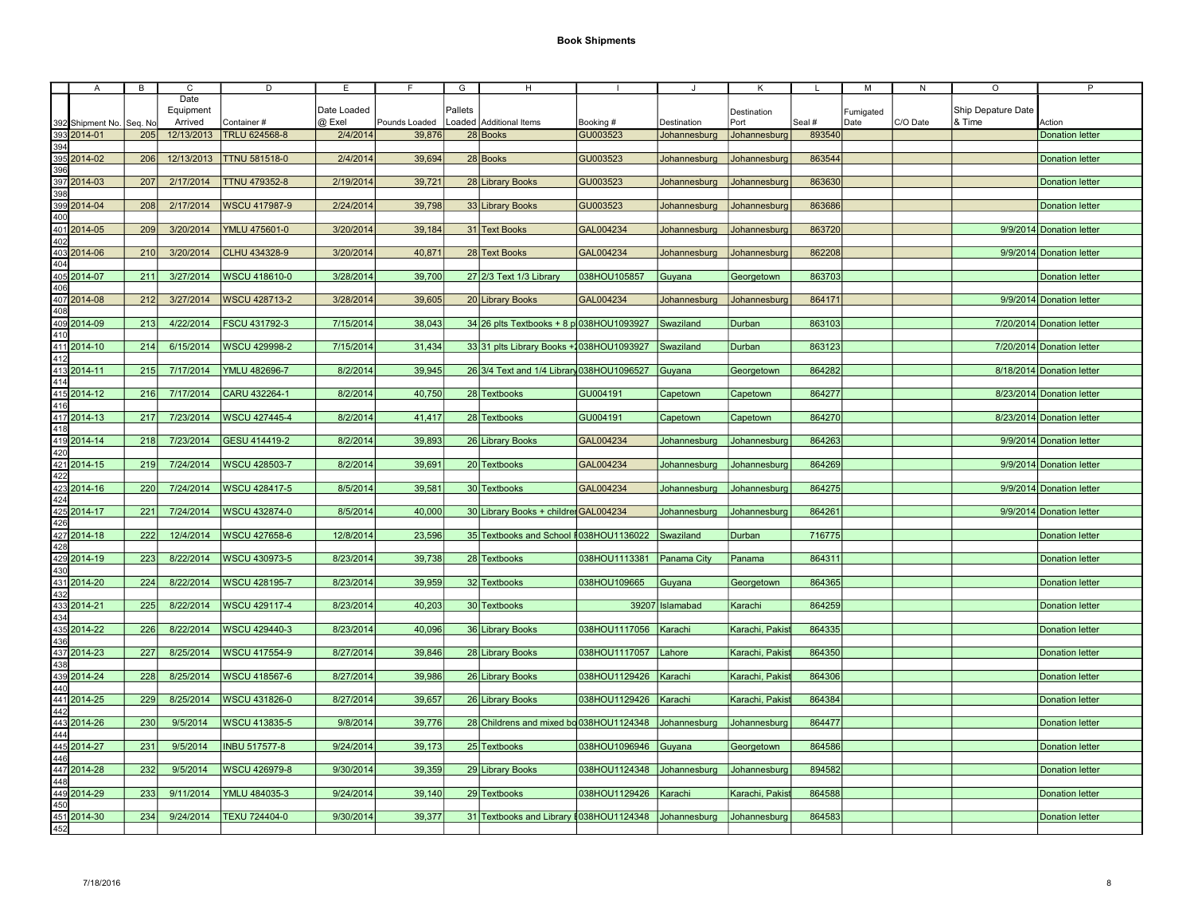|     | $\mathsf{A}$                                                                                                                                                                                                                                                                                                                  | $\overline{B}$ | $\overline{c}$ | D                    | E           | F             | G       | H                                                    |                           |                   | Κ               |        | M         | ${\sf N}$ | $\circ$            | $\overline{P}$            |
|-----|-------------------------------------------------------------------------------------------------------------------------------------------------------------------------------------------------------------------------------------------------------------------------------------------------------------------------------|----------------|----------------|----------------------|-------------|---------------|---------|------------------------------------------------------|---------------------------|-------------------|-----------------|--------|-----------|-----------|--------------------|---------------------------|
|     |                                                                                                                                                                                                                                                                                                                               |                | Date           |                      |             |               |         |                                                      |                           |                   |                 |        |           |           |                    |                           |
|     |                                                                                                                                                                                                                                                                                                                               |                | Equipment      |                      | Date Loaded |               | Pallets |                                                      |                           |                   | Destination     |        | Fumigated |           | Ship Depature Date |                           |
|     |                                                                                                                                                                                                                                                                                                                               | Seq. No        | Arrived        | Container#           | @ Exel      | Pounds Loaded |         | Loaded Additional Items                              | Booking #                 | Destination       | Port            | Seal # | Date      | C/O Date  | & Time             | Action                    |
|     | 392 Shipment No.<br>393 2014-01                                                                                                                                                                                                                                                                                               |                |                |                      |             |               |         |                                                      | GU003523                  |                   |                 |        |           |           |                    |                           |
|     |                                                                                                                                                                                                                                                                                                                               | 205            | 12/13/2013     | TRLU 624568-8        | 2/4/2014    | 39,876        |         | 28 Books                                             |                           | Johannesburg      | Johannesburg    | 893540 |           |           |                    | <b>Donation letter</b>    |
|     | 394<br>395<br>395 2014-02<br>396                                                                                                                                                                                                                                                                                              |                |                |                      |             |               |         |                                                      |                           |                   |                 |        |           |           |                    |                           |
|     |                                                                                                                                                                                                                                                                                                                               | 206            | 12/13/2013     | <b>TTNU 581518-0</b> | 2/4/2014    | 39,694        |         | 28 Books                                             | GU003523                  | Johannesburg      | Johannesburg    | 863544 |           |           |                    | <b>Donation letter</b>    |
|     |                                                                                                                                                                                                                                                                                                                               |                |                |                      |             |               |         |                                                      |                           |                   |                 |        |           |           |                    |                           |
|     |                                                                                                                                                                                                                                                                                                                               | 207            | 2/17/2014      | <b>TTNU 479352-8</b> | 2/19/2014   | 39,721        |         | 28 Library Books                                     | GU003523                  | Johannesburg      | Johannesburg    | 863630 |           |           |                    | <b>Donation letter</b>    |
|     |                                                                                                                                                                                                                                                                                                                               |                |                |                      |             |               |         |                                                      |                           |                   |                 |        |           |           |                    |                           |
|     |                                                                                                                                                                                                                                                                                                                               | 208            | 2/17/2014      | WSCU 417987-9        | 2/24/2014   | 39,798        |         | 33 Library Books                                     | GU003523                  | Johannesburg      | Johannesburg    | 863686 |           |           |                    | <b>Donation letter</b>    |
|     |                                                                                                                                                                                                                                                                                                                               |                |                |                      |             |               |         |                                                      |                           |                   |                 |        |           |           |                    |                           |
|     |                                                                                                                                                                                                                                                                                                                               | 209            | 3/20/2014      | YMLU 475601-0        | 3/20/2014   | 39,184        |         | 31 Text Books                                        | GAL004234                 | Johannesburg      | Johannesburg    | 863720 |           |           |                    | 9/9/2014 Donation letter  |
|     |                                                                                                                                                                                                                                                                                                                               |                |                |                      |             |               |         |                                                      |                           |                   |                 |        |           |           |                    |                           |
|     |                                                                                                                                                                                                                                                                                                                               | 210            | 3/20/2014      | CLHU 434328-9        | 3/20/2014   | 40,871        |         | 28 Text Books                                        | GAL004234                 | Johannesburg      | Johannesburg    | 862208 |           |           |                    | 9/9/2014 Donation letter  |
|     |                                                                                                                                                                                                                                                                                                                               |                |                |                      |             |               |         |                                                      |                           |                   |                 |        |           |           |                    |                           |
|     |                                                                                                                                                                                                                                                                                                                               |                |                |                      |             |               |         |                                                      |                           |                   |                 |        |           |           |                    |                           |
|     |                                                                                                                                                                                                                                                                                                                               | 211            | 3/27/2014      | <b>WSCU 418610-0</b> | 3/28/2014   | 39,700        |         | 27 2/3 Text 1/3 Library                              | 038HOU105857              | Guyana            | Georgetown      | 863703 |           |           |                    | <b>Donation letter</b>    |
|     |                                                                                                                                                                                                                                                                                                                               |                |                |                      |             |               |         |                                                      |                           |                   |                 |        |           |           |                    |                           |
|     |                                                                                                                                                                                                                                                                                                                               | 212            | 3/27/2014      | <b>WSCU 428713-2</b> | 3/28/2014   | 39,605        |         | 20 Library Books                                     | GAL004234                 | Johannesburg      | Johannesburg    | 864171 |           |           |                    | 9/9/2014 Donation letter  |
|     |                                                                                                                                                                                                                                                                                                                               |                |                |                      |             |               |         |                                                      |                           |                   |                 |        |           |           |                    |                           |
|     |                                                                                                                                                                                                                                                                                                                               | 213            | 4/22/2014      | FSCU 431792-3        | 7/15/2014   | 38,043        |         | $34 26$ plts Textbooks + 8 p 038HOU1093927           |                           | Swaziland         | Durban          | 863103 |           |           |                    | 7/20/2014 Donation letter |
|     |                                                                                                                                                                                                                                                                                                                               |                |                |                      |             |               |         |                                                      |                           |                   |                 |        |           |           |                    |                           |
|     |                                                                                                                                                                                                                                                                                                                               | 214            | 6/15/2014      | WSCU 429998-2        | 7/15/2014   | 31,434        |         | 33 31 plts Library Books + 1038 HOU 1093927          |                           | Swaziland         | Durban          | 863123 |           |           |                    | 7/20/2014 Donation letter |
|     | 406<br>409 2014-09<br>410<br>411 2014-10<br>412                                                                                                                                                                                                                                                                               |                |                |                      |             |               |         |                                                      |                           |                   |                 |        |           |           |                    |                           |
|     | $\frac{412}{413}$ $\frac{2014-11}{414}$ $\frac{415}{416}$ $\frac{2014-12}{416}$                                                                                                                                                                                                                                               | 215            | 7/17/2014      | YMLU 482696-7        | 8/2/2014    | 39,945        |         | 26 3/4 Text and 1/4 Library 038HOU1096527            |                           | Guyana            | Georgetown      | 864282 |           |           |                    | 8/18/2014 Donation letter |
|     |                                                                                                                                                                                                                                                                                                                               |                |                |                      |             |               |         |                                                      |                           |                   |                 |        |           |           |                    |                           |
|     |                                                                                                                                                                                                                                                                                                                               |                | 7/17/2014      | CARU 432264-1        | 8/2/2014    | 40,750        |         |                                                      | GU004191                  |                   |                 | 864277 |           |           |                    | 8/23/2014 Donation letter |
|     |                                                                                                                                                                                                                                                                                                                               | 216            |                |                      |             |               |         | 28 Textbooks                                         |                           | Capetown          | Capetown        |        |           |           |                    |                           |
|     |                                                                                                                                                                                                                                                                                                                               |                |                |                      |             |               |         |                                                      |                           |                   |                 |        |           |           |                    |                           |
|     | 417 2014-13<br>418                                                                                                                                                                                                                                                                                                            | 217            | 7/23/2014      | <b>WSCU 427445-4</b> | 8/2/2014    | 41,417        |         | 28 Textbooks                                         | GU004191                  | Capetown          | Capetown        | 864270 |           |           |                    | 8/23/2014 Donation letter |
|     |                                                                                                                                                                                                                                                                                                                               |                |                |                      |             |               |         |                                                      |                           |                   |                 |        |           |           |                    |                           |
|     |                                                                                                                                                                                                                                                                                                                               | 218            | 7/23/2014      | GESU 414419-2        | 8/2/2014    | 39,893        |         | 26 Library Books                                     | GAL004234                 | Johannesburg      | Johannesburg    | 864263 |           |           |                    | 9/9/2014 Donation letter  |
|     | 419 2014-14                                                                                                                                                                                                                                                                                                                   |                |                |                      |             |               |         |                                                      |                           |                   |                 |        |           |           |                    |                           |
|     | 421 2014-15                                                                                                                                                                                                                                                                                                                   | 219            | 7/24/2014      | <b>WSCU 428503-7</b> | 8/2/2014    | 39,691        |         | 20 Textbooks                                         | GAL004234                 | Johannesburg      | Johannesburg    | 864269 |           |           |                    | 9/9/2014 Donation letter  |
|     |                                                                                                                                                                                                                                                                                                                               |                |                |                      |             |               |         |                                                      |                           |                   |                 |        |           |           |                    |                           |
|     |                                                                                                                                                                                                                                                                                                                               | 220            | 7/24/2014      | <b>WSCU 428417-5</b> | 8/5/2014    | 39,581        |         | 30 Textbooks                                         | GAL004234                 | Johannesburg      | Johannesburg    | 864275 |           |           |                    | 9/9/2014 Donation letter  |
|     |                                                                                                                                                                                                                                                                                                                               |                |                |                      |             |               |         |                                                      |                           |                   |                 |        |           |           |                    |                           |
|     | $\begin{array}{r}\n 422 \\  \hline\n 423 \overline{)2014-16} \\  \hline\n 424 \\  \hline\n 425 \overline{)2014-17} \\  \hline\n 426 \\  \hline\n 427 \overline{)2014-18} \\  \hline\n 428\n \end{array}$                                                                                                                      | 221            | 7/24/2014      | WSCU 432874-0        | 8/5/2014    | 40,000        |         | 30 Library Books + childre GAL004234                 |                           | Johannesburg      | Johannesburg    | 864261 |           |           |                    | 9/9/2014 Donation letter  |
|     |                                                                                                                                                                                                                                                                                                                               |                |                |                      |             |               |         |                                                      |                           |                   |                 |        |           |           |                    |                           |
|     |                                                                                                                                                                                                                                                                                                                               | 222            | 12/4/2014      | <b>WSCU 427658-6</b> | 12/8/2014   | 23,596        |         | 35 Textbooks and School #038HOU1136022 Swaziland     |                           |                   | Durban          | 716775 |           |           |                    |                           |
|     |                                                                                                                                                                                                                                                                                                                               |                |                |                      |             |               |         |                                                      |                           |                   |                 |        |           |           |                    | <b>Donation letter</b>    |
|     |                                                                                                                                                                                                                                                                                                                               |                |                |                      |             |               |         |                                                      |                           |                   |                 |        |           |           |                    |                           |
|     | 429 2014-19                                                                                                                                                                                                                                                                                                                   | 223            | 8/22/2014      | WSCU 430973-5        | 8/23/2014   | 39,738        |         | 28 Textbooks                                         | 038HOU1113381 Panama City |                   | Panama          | 864311 |           |           |                    | <b>Donation letter</b>    |
| 430 |                                                                                                                                                                                                                                                                                                                               |                |                |                      |             |               |         |                                                      |                           |                   |                 |        |           |           |                    |                           |
|     |                                                                                                                                                                                                                                                                                                                               | 224            | 8/22/2014      | WSCU 428195-7        | 8/23/2014   | 39,959        |         | 32 Textbooks                                         | 038HOU109665              | Guyana            | Georgetown      | 864365 |           |           |                    | <b>Donation letter</b>    |
|     | $\begin{array}{l} 430 \\ 431 \\ 2014\hbox{-}20 \\ 432 \\ \hline 433 \\ 2014\hbox{-}21 \\ 434 \\ \hline 435 \\ 2014\hbox{-}22 \\ 435 \\ \hline 437 \\ 2014\hbox{-}23 \\ 438 \\ \hline 449 \\ 441 \\ \hline 2014\hbox{-}24 \\ 442 \\ \hline 442 \\ 2014\hbox{-}28 \\ 442 \\ \hline 243 \\ 2014\hbox{-}26 \\ \hline \end{array}$ |                |                |                      |             |               |         |                                                      |                           |                   |                 |        |           |           |                    |                           |
|     |                                                                                                                                                                                                                                                                                                                               | 225            | 8/22/2014      | WSCU 429117-4        | 8/23/2014   | 40,203        |         | 30 Textbooks                                         |                           | 39207   Islamabad | Karachi         | 864259 |           |           |                    | <b>Donation letter</b>    |
|     |                                                                                                                                                                                                                                                                                                                               |                |                |                      |             |               |         |                                                      |                           |                   |                 |        |           |           |                    |                           |
|     |                                                                                                                                                                                                                                                                                                                               | 226            | 8/22/2014      | WSCU 429440-3        | 8/23/2014   | 40,096        |         | 36 Library Books                                     | 038HOU1117056   Karachi   |                   | Karachi, Pakist | 864335 |           |           |                    | <b>Donation letter</b>    |
|     |                                                                                                                                                                                                                                                                                                                               |                |                |                      |             |               |         |                                                      |                           |                   |                 |        |           |           |                    |                           |
|     |                                                                                                                                                                                                                                                                                                                               | 227            | 8/25/2014      | WSCU 417554-9        | 8/27/2014   | 39,846        |         | 28 Library Books                                     | 038HOU1117057             | Lahore            | Karachi, Pakist | 864350 |           |           |                    | <b>Donation letter</b>    |
|     |                                                                                                                                                                                                                                                                                                                               |                |                |                      |             |               |         |                                                      |                           |                   |                 |        |           |           |                    |                           |
|     |                                                                                                                                                                                                                                                                                                                               | 228            | 8/25/2014      | WSCU 418567-6        | 8/27/2014   | 39,986        |         | 26 Library Books                                     | 038HOU1129426   Karachi   |                   | Karachi, Pakist | 864306 |           |           |                    | <b>Donation letter</b>    |
|     |                                                                                                                                                                                                                                                                                                                               |                |                |                      |             |               |         |                                                      |                           |                   |                 |        |           |           |                    |                           |
|     |                                                                                                                                                                                                                                                                                                                               | 229            | 8/25/2014      | <b>WSCU 431826-0</b> | 8/27/2014   | 39,657        |         | 26 Library Books                                     | 038HOU1129426             | Karachi           | Karachi, Pakist | 864384 |           |           |                    | <b>Donation letter</b>    |
|     |                                                                                                                                                                                                                                                                                                                               |                |                |                      |             |               |         |                                                      |                           |                   |                 |        |           |           |                    |                           |
|     |                                                                                                                                                                                                                                                                                                                               |                |                |                      |             |               |         |                                                      |                           |                   |                 |        |           |           |                    |                           |
|     |                                                                                                                                                                                                                                                                                                                               | 230            | 9/5/2014       | <b>WSCU 413835-5</b> | 9/8/2014    | 39.776        |         | 28 Childrens and mixed bo 038 HOU 1124348            |                           | Johannesburg      | Johannesburg    | 864477 |           |           |                    | <b>Donation letter</b>    |
|     | $\begin{array}{r}\n4432014-26 \\ 444 \\ 4452014-27 \\ 446 \\ 4472014-28 \\ 448 \\ 4492014-29 \\ 450 \\ 4512014-30 \\ 452\n\end{array}$                                                                                                                                                                                        |                |                |                      |             |               |         |                                                      |                           |                   |                 |        |           |           |                    |                           |
|     |                                                                                                                                                                                                                                                                                                                               | 231            | 9/5/2014       | <b>INBU 517577-8</b> | 9/24/2014   | 39,173        |         | 25 Textbooks                                         | 038HOU1096946 Guyana      |                   | Georgetown      | 864586 |           |           |                    | <b>Donation letter</b>    |
|     |                                                                                                                                                                                                                                                                                                                               |                |                |                      |             |               |         |                                                      |                           |                   |                 |        |           |           |                    |                           |
|     |                                                                                                                                                                                                                                                                                                                               | 232            | 9/5/2014       | <b>WSCU 426979-8</b> | 9/30/2014   | 39,359        |         | 29 Library Books                                     | 038HOU1124348             | Johannesburg      | Johannesburg    | 894582 |           |           |                    | <b>Donation letter</b>    |
|     |                                                                                                                                                                                                                                                                                                                               |                |                |                      |             |               |         |                                                      |                           |                   |                 |        |           |           |                    |                           |
|     |                                                                                                                                                                                                                                                                                                                               | 233            | 9/11/2014      | YMLU 484035-3        | 9/24/2014   | 39,140        |         | 29 Textbooks                                         | 038HOU1129426             | Karachi           | Karachi, Pakis  | 864588 |           |           |                    | <b>Donation letter</b>    |
|     |                                                                                                                                                                                                                                                                                                                               |                |                |                      |             |               |         |                                                      |                           |                   |                 |        |           |           |                    |                           |
|     |                                                                                                                                                                                                                                                                                                                               | 234            | 9/24/2014      | <b>TEXU 724404-0</b> | 9/30/2014   | 39,377        |         | 31 Textbooks and Library #038HOU1124348 Johannesburg |                           |                   | Johannesburg    | 864583 |           |           |                    | <b>Donation letter</b>    |
|     |                                                                                                                                                                                                                                                                                                                               |                |                |                      |             |               |         |                                                      |                           |                   |                 |        |           |           |                    |                           |
|     |                                                                                                                                                                                                                                                                                                                               |                |                |                      |             |               |         |                                                      |                           |                   |                 |        |           |           |                    |                           |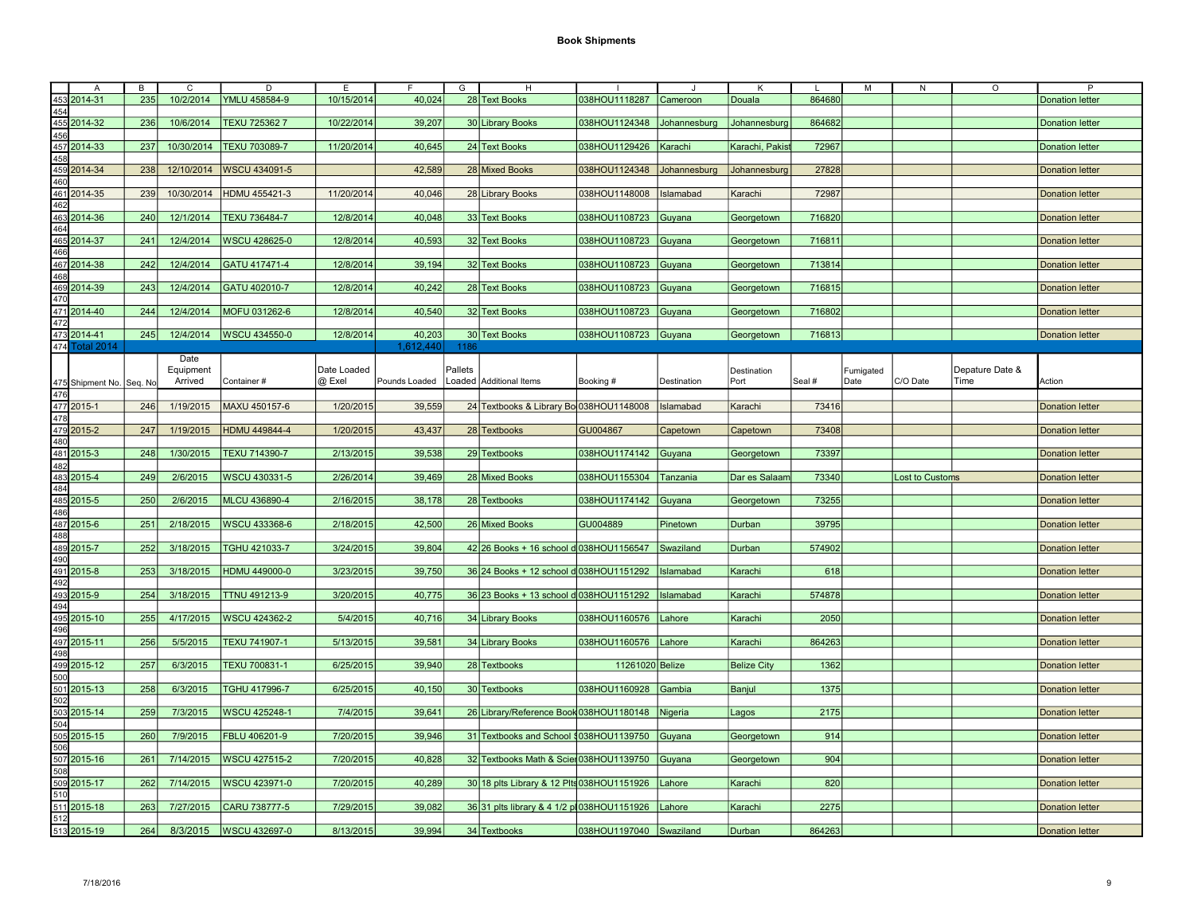|     | A                        | B   | С             | D                          | E           |               | G       | н                                                     |                            |              | ĸ                  |        | M         | N                      | O               | P                      |
|-----|--------------------------|-----|---------------|----------------------------|-------------|---------------|---------|-------------------------------------------------------|----------------------------|--------------|--------------------|--------|-----------|------------------------|-----------------|------------------------|
|     | 453 2014-31              | 235 |               | 10/2/2014   YMLU 458584-9  | 10/15/2014  | 40,024        |         | 28 Text Books                                         | 038HOU1118287 Cameroon     |              | <b>Douala</b>      | 864680 |           |                        |                 | <b>Donation letter</b> |
|     |                          |     |               |                            |             |               |         |                                                       |                            |              |                    |        |           |                        |                 |                        |
| 454 |                          |     |               |                            |             |               |         |                                                       |                            |              |                    |        |           |                        |                 |                        |
|     | 455 2014-32              | 236 | 10/6/2014     | TEXU 725362 7              | 10/22/2014  | 39,207        |         | 30 Library Books                                      | 038HOU1124348              | Johannesburg | Johannesburg       | 864682 |           |                        |                 | <b>Donation letter</b> |
| 456 |                          |     |               |                            |             |               |         |                                                       |                            |              |                    |        |           |                        |                 |                        |
|     | 457 2014-33              | 237 | 10/30/2014    | <b>TEXU 703089-7</b>       | 11/20/2014  | 40,645        |         | 24 Text Books                                         | 038HOU1129426              | Karachi      | Karachi, Pakist    | 72967  |           |                        |                 | <b>Donation letter</b> |
| 458 |                          |     |               |                            |             |               |         |                                                       |                            |              |                    |        |           |                        |                 |                        |
|     | 459 2014-34              | 238 |               | 12/10/2014   WSCU 434091-5 |             | 42,589        |         | 28 Mixed Books                                        | 038HOU1124348 Johannesburg |              | Johannesburg       | 27828  |           |                        |                 | <b>Donation letter</b> |
| 460 |                          |     |               |                            |             |               |         |                                                       |                            |              |                    |        |           |                        |                 |                        |
|     |                          |     |               |                            |             |               |         |                                                       |                            |              |                    |        |           |                        |                 |                        |
|     | 461 2014-35              | 239 | 10/30/2014    | HDMU 455421-3              | 11/20/2014  | 40,046        |         | 28 Library Books                                      | 038HOU1148008              | Islamabad    | Karachi            | 72987  |           |                        |                 | <b>Donation letter</b> |
| 462 |                          |     |               |                            |             |               |         |                                                       |                            |              |                    |        |           |                        |                 |                        |
|     | 463 2014-36              | 240 | 12/1/2014     | TEXU 736484-7              | 12/8/2014   | 40,048        |         | 33 Text Books                                         | 038HOU1108723 Guyana       |              | Georgetown         | 716820 |           |                        |                 | <b>Donation letter</b> |
| 464 |                          |     |               |                            |             |               |         |                                                       |                            |              |                    |        |           |                        |                 |                        |
|     | 465 2014-37              | 241 | 12/4/2014     | WSCU 428625-0              | 12/8/2014   | 40,593        |         | 32 Text Books                                         | 038HOU1108723 Guyana       |              | Georgetown         | 716811 |           |                        |                 | <b>Donation letter</b> |
| 466 |                          |     |               |                            |             |               |         |                                                       |                            |              |                    |        |           |                        |                 |                        |
|     |                          | 242 | 12/4/2014     | GATU 417471-4              | 12/8/2014   |               |         | 32 Text Books                                         | 038HOU1108723 Guyana       |              |                    | 713814 |           |                        |                 | <b>Donation letter</b> |
|     | 467 2014-38              |     |               |                            |             | 39,194        |         |                                                       |                            |              | Georgetown         |        |           |                        |                 |                        |
| 468 |                          |     |               |                            |             |               |         |                                                       |                            |              |                    |        |           |                        |                 |                        |
|     | 469 2014-39              | 243 | 12/4/2014     | GATU 402010-7              | 12/8/2014   | 40,242        |         | 28 Text Books                                         | 038HOU1108723 Guyana       |              | Georgetown         | 716815 |           |                        |                 | <b>Donation letter</b> |
| 470 |                          |     |               |                            |             |               |         |                                                       |                            |              |                    |        |           |                        |                 |                        |
|     | 471 2014-40              | 244 | 12/4/2014     | MOFU 031262-6              | 12/8/2014   | 40,540        |         | 32 Text Books                                         | 038HOU1108723 Guyana       |              | Georgetown         | 716802 |           |                        |                 | <b>Donation letter</b> |
| 472 |                          |     |               |                            |             |               |         |                                                       |                            |              |                    |        |           |                        |                 |                        |
|     | 473 2014-41              |     | 245 12/4/2014 | WSCU 434550-0              | 12/8/2014   | 40,203        |         | 30 Text Books                                         | 038HOU1108723 Guyana       |              | Georgetown         | 716813 |           |                        |                 | <b>Donation letter</b> |
|     | 474 Total 2014           |     |               |                            |             | 1,612,440     | 1186    |                                                       |                            |              |                    |        |           |                        |                 |                        |
|     |                          |     |               |                            |             |               |         |                                                       |                            |              |                    |        |           |                        |                 |                        |
|     |                          |     | Date          |                            |             |               |         |                                                       |                            |              |                    |        |           |                        |                 |                        |
|     |                          |     | Equipment     |                            | Date Loaded |               | Pallets |                                                       |                            |              | Destination        |        | Fumigated |                        | Depature Date & |                        |
|     | 475 Shipment No. Seq. No |     | Arrived       | Container#                 | @ Exel      | Pounds Loaded |         | Loaded Additional Items                               | Booking #                  | Destination  | Port               | Seal # | Date      | C/O Date               | Time            | Action                 |
| 476 |                          |     |               |                            |             |               |         |                                                       |                            |              |                    |        |           |                        |                 |                        |
|     | 477 2015-1               | 246 | 1/19/2015     | MAXU 450157-6              | 1/20/2015   | 39,559        |         | 24 Textbooks & Library Bo 038HOU1148008   Islamabad   |                            |              | Karachi            | 73416  |           |                        |                 | <b>Donation letter</b> |
| 478 |                          |     |               |                            |             |               |         |                                                       |                            |              |                    |        |           |                        |                 |                        |
|     | 479 2015-2               | 247 | 1/19/2015     | HDMU 449844-4              | 1/20/2015   | 43,437        |         | 28 Textbooks                                          | GU004867                   | Capetown     | Capetown           | 73408  |           |                        |                 | <b>Donation letter</b> |
| 480 |                          |     |               |                            |             |               |         |                                                       |                            |              |                    |        |           |                        |                 |                        |
|     |                          |     |               | TEXU 714390-7              |             |               |         |                                                       |                            |              |                    |        |           |                        |                 |                        |
|     | 481 2015-3               | 248 | 1/30/2015     |                            | 2/13/2015   | 39,538        |         | 29 Textbooks                                          | 038HOU1174142 Guyana       |              | Georgetown         | 73397  |           |                        |                 | <b>Donation letter</b> |
| 482 |                          |     |               |                            |             |               |         |                                                       |                            |              |                    |        |           |                        |                 |                        |
|     | 483 2015-4               | 249 | 2/6/2015      | WSCU 430331-5              | 2/26/2014   | 39,469        |         | 28 Mixed Books                                        | 038HOU1155304 Tanzania     |              | Dar es Salaam      | 73340  |           | <b>Lost to Customs</b> |                 | <b>Donation letter</b> |
| 484 |                          |     |               |                            |             |               |         |                                                       |                            |              |                    |        |           |                        |                 |                        |
|     | 485 2015-5               | 250 | 2/6/2015      | MLCU 436890-4              | 2/16/2015   | 38,178        |         | 28 Textbooks                                          | 038HOU1174142 Guyana       |              | Georgetown         | 73255  |           |                        |                 | <b>Donation letter</b> |
| 486 |                          |     |               |                            |             |               |         |                                                       |                            |              |                    |        |           |                        |                 |                        |
|     | 487 2015-6               | 251 | 2/18/2015     | <b>WSCU 433368-6</b>       | 2/18/2015   | 42,500        |         | 26 Mixed Books                                        | GU004889                   | Pinetown     | Durban             | 39795  |           |                        |                 | <b>Donation letter</b> |
| 488 |                          |     |               |                            |             |               |         |                                                       |                            |              |                    |        |           |                        |                 |                        |
|     | 489 2015-7               | 252 | 3/18/2015     | TGHU 421033-7              | 3/24/2015   | 39,804        |         | 42 26 Books + 16 school d 038 HOU 1156547 Swaziland   |                            |              | Durban             | 574902 |           |                        |                 | <b>Donation letter</b> |
|     |                          |     |               |                            |             |               |         |                                                       |                            |              |                    |        |           |                        |                 |                        |
| 490 |                          |     |               |                            |             |               |         |                                                       |                            |              |                    |        |           |                        |                 |                        |
|     | 491 2015-8               | 253 | 3/18/2015     | HDMU 449000-0              | 3/23/2015   | 39,750        |         | 36 24 Books + 12 school d 038 HOU 1151292   Islamabad |                            |              | Karachi            | 618    |           |                        |                 | <b>Donation letter</b> |
| 492 |                          |     |               |                            |             |               |         |                                                       |                            |              |                    |        |           |                        |                 |                        |
|     | 493 2015-9               | 254 | 3/18/2015     | TTNU 491213-9              | 3/20/2015   | 40,775        |         | 36 23 Books + 13 school d 038HOU1151292   Islamabad   |                            |              | Karachi            | 574878 |           |                        |                 | <b>Donation letter</b> |
| 494 |                          |     |               |                            |             |               |         |                                                       |                            |              |                    |        |           |                        |                 |                        |
|     | 495 2015-10              | 255 | 4/17/2015     | <b>WSCU 424362-2</b>       | 5/4/2015    | 40,716        |         | 34 Library Books                                      | 038HOU1160576   Lahore     |              | Karachi            | 2050   |           |                        |                 | <b>Donation letter</b> |
| 496 |                          |     |               |                            |             |               |         |                                                       |                            |              |                    |        |           |                        |                 |                        |
|     | 497 2015-11              |     |               | TEXU 741907-1              | 5/13/2015   | 39,581        |         |                                                       |                            |              |                    |        |           |                        |                 |                        |
|     |                          | 256 | 5/5/2015      |                            |             |               |         | 34 Library Books                                      | 038HOU1160576   Lahore     |              | Karachi            | 864263 |           |                        |                 | <b>Donation letter</b> |
| 498 |                          |     |               |                            |             |               |         |                                                       |                            |              |                    |        |           |                        |                 |                        |
|     | 499 2015-12              | 257 | 6/3/2015      | TEXU 700831-1              | 6/25/2015   | 39,940        |         | 28 Textbooks                                          | 11261020 Belize            |              | <b>Belize City</b> | 1362   |           |                        |                 | <b>Donation letter</b> |
| 500 |                          |     |               |                            |             |               |         |                                                       |                            |              |                    |        |           |                        |                 |                        |
|     | 501 2015-13              | 258 | 6/3/2015      | TGHU 417996-7              | 6/25/2015   | 40,150        |         | 30 Textbooks                                          | 038HOU1160928 Gambia       |              | Banjul             | 1375   |           |                        |                 | <b>Donation letter</b> |
| 502 |                          |     |               |                            |             |               |         |                                                       |                            |              |                    |        |           |                        |                 |                        |
|     | 503 2015-14              | 259 | 7/3/2015      | <b>WSCU 425248-1</b>       | 7/4/2015    | 39,641        |         | 26 Library/Reference Book 038HOU1180148 Nigeria       |                            |              | Lagos              | 2175   |           |                        |                 | <b>Donation letter</b> |
| 504 |                          |     |               |                            |             |               |         |                                                       |                            |              |                    |        |           |                        |                 |                        |
|     |                          |     |               | FBLU 406201-9              |             |               |         |                                                       |                            |              |                    |        |           |                        |                 |                        |
|     | 505 2015-15              | 260 | 7/9/2015      |                            | 7/20/2015   | 39,946        |         | 31 Textbooks and School \$038HOU1139750 Guyana        |                            |              | Georgetown         | 914    |           |                        |                 | <b>Donation letter</b> |
| 506 |                          |     |               |                            |             |               |         |                                                       |                            |              |                    |        |           |                        |                 |                        |
|     | 507 2015-16              | 261 | 7/14/2015     | <b>WSCU 427515-2</b>       | 7/20/2015   | 40,828        |         | 32 Textbooks Math & Scie 038HOU1139750 Guyana         |                            |              | Georgetown         | 904    |           |                        |                 | <b>Donation letter</b> |
|     |                          |     |               |                            |             |               |         |                                                       |                            |              |                    |        |           |                        |                 |                        |
|     | 509 2015-17              | 262 | 7/14/2015     | WSCU 423971-0              | 7/20/2015   | 40,289        |         | 30 18 plts Library & 12 Plts 038HOU1151926   Lahore   |                            |              | Karachi            | 820    |           |                        |                 | <b>Donation letter</b> |
| 510 |                          |     |               |                            |             |               |         |                                                       |                            |              |                    |        |           |                        |                 |                        |
|     | 511 2015-18              | 263 | 7/27/2015     | CARU 738777-5              | 7/29/2015   | 39,082        |         | 36 31 plts library & 4 1/2 pl 038HOU1151926   Lahore  |                            |              | Karachi            | 2275   |           |                        |                 | <b>Donation letter</b> |
| 512 |                          |     |               |                            |             |               |         |                                                       |                            |              |                    |        |           |                        |                 |                        |
|     |                          |     |               |                            |             |               |         |                                                       |                            |              |                    |        |           |                        |                 |                        |
|     | 513 2015-19              | 264 | 8/3/2015      | WSCU 432697-0              | 8/13/2015   | 39,994        |         | 34 Textbooks                                          | 038HOU1197040 Swaziland    |              | Durban             | 864263 |           |                        |                 | <b>Donation letter</b> |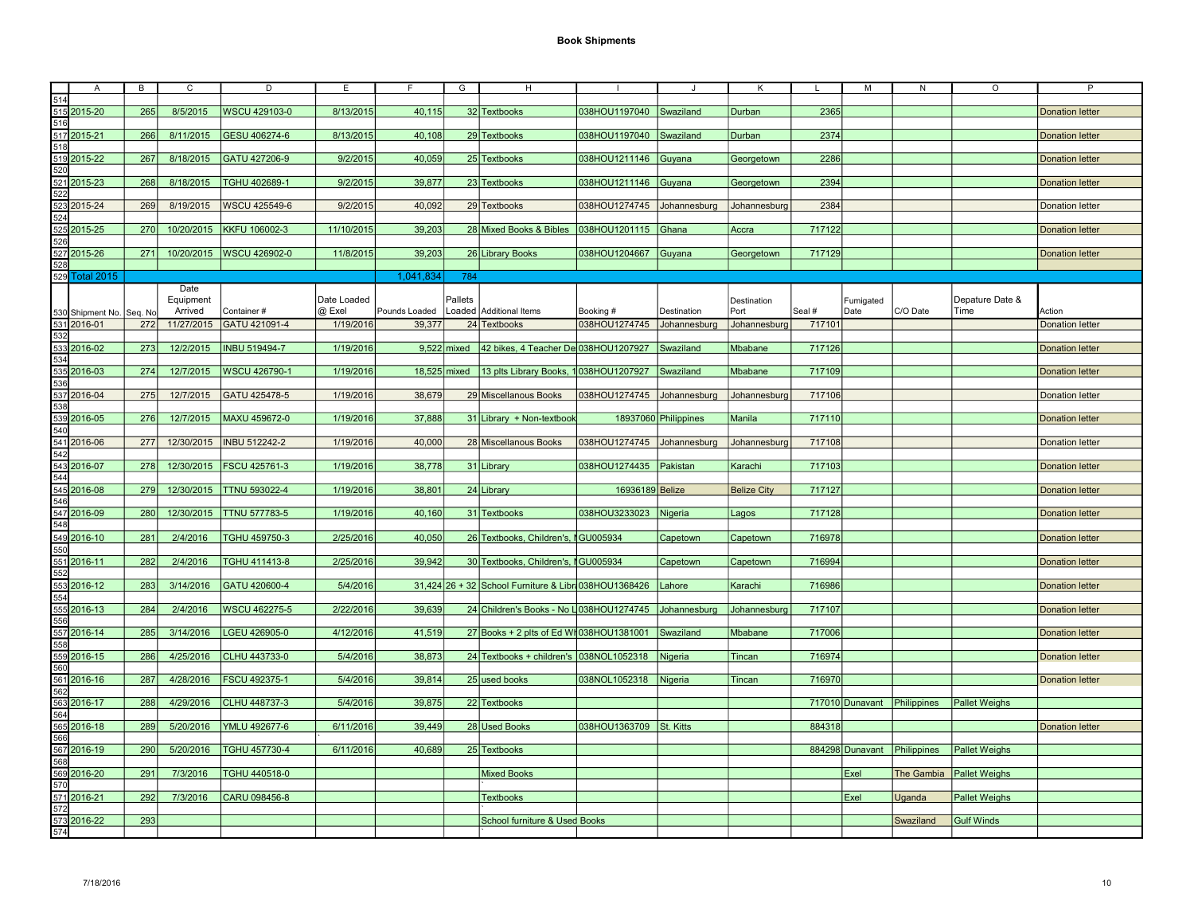|     | Α                        | B   | $\overline{c}$ | D                    | E           | F              | $\overline{G}$ | н                                                      |                            |                      | Κ                  |        | м               | N                           | O                    | $\overline{P}$         |
|-----|--------------------------|-----|----------------|----------------------|-------------|----------------|----------------|--------------------------------------------------------|----------------------------|----------------------|--------------------|--------|-----------------|-----------------------------|----------------------|------------------------|
| 514 |                          |     |                |                      |             |                |                |                                                        |                            |                      |                    |        |                 |                             |                      |                        |
|     |                          |     |                |                      |             |                |                |                                                        |                            |                      |                    |        |                 |                             |                      |                        |
|     | 515 2015-20              | 265 | 8/5/2015       | WSCU 429103-0        | 8/13/2015   | 40,115         |                | 32 Textbooks                                           | 038HOU1197040 Swaziland    |                      | Durban             | 2365   |                 |                             |                      | <b>Donation letter</b> |
| 516 |                          |     |                |                      |             |                |                |                                                        |                            |                      |                    |        |                 |                             |                      |                        |
|     | 517 2015-21              | 266 | 8/11/2015      | GESU 406274-6        | 8/13/2015   | 40,108         |                | 29 Textbooks                                           | 038HOU1197040              | Swaziland            | Durban             | 2374   |                 |                             |                      | <b>Donation letter</b> |
| 518 |                          |     |                |                      |             |                |                |                                                        |                            |                      |                    |        |                 |                             |                      |                        |
|     | 519 2015-22              | 267 | 8/18/2015      | GATU 427206-9        | 9/2/2015    | 40,059         |                | 25 Textbooks                                           | 038HOU1211146 Guyana       |                      | Georgetown         | 2286   |                 |                             |                      | <b>Donation letter</b> |
| 520 |                          |     |                |                      |             |                |                |                                                        |                            |                      |                    |        |                 |                             |                      |                        |
|     |                          |     |                |                      |             |                |                |                                                        |                            |                      |                    |        |                 |                             |                      |                        |
|     | 521 2015-23              | 268 | 8/18/2015      | TGHU 402689-1        | 9/2/2015    | 39,877         |                | 23 Textbooks                                           | 038HOU1211146 Guyana       |                      | Georgetown         | 2394   |                 |                             |                      | <b>Donation letter</b> |
| 522 |                          |     |                |                      |             |                |                |                                                        |                            |                      |                    |        |                 |                             |                      |                        |
|     | 523 2015-24              | 269 | 8/19/2015      | <b>WSCU 425549-6</b> | 9/2/2015    | 40,092         |                | 29 Textbooks                                           | 038HOU1274745              | Johannesburg         | Johannesburg       | 2384   |                 |                             |                      | <b>Donation letter</b> |
| 524 |                          |     |                |                      |             |                |                |                                                        |                            |                      |                    |        |                 |                             |                      |                        |
|     | 525 2015-25              | 270 | 10/20/2015     | <b>KKFU 106002-3</b> | 11/10/2015  | 39,203         |                | 28 Mixed Books & Bibles 038HOU1201115 Ghana            |                            |                      | Accra              | 717122 |                 |                             |                      | <b>Donation letter</b> |
| 526 |                          |     |                |                      |             |                |                |                                                        |                            |                      |                    |        |                 |                             |                      |                        |
|     |                          |     |                |                      |             |                |                |                                                        |                            |                      |                    |        |                 |                             |                      |                        |
|     | 527 2015-26              | 271 | 10/20/2015     | WSCU 426902-0        | 11/8/2015   | 39,203         |                | 26 Library Books                                       | 038HOU1204667              | Guyana               | Georgetown         | 717129 |                 |                             |                      | <b>Donation letter</b> |
| 528 |                          |     |                |                      |             |                |                |                                                        |                            |                      |                    |        |                 |                             |                      |                        |
|     | 529 Total 2015           |     |                |                      |             | 1,041,834      | 784            |                                                        |                            |                      |                    |        |                 |                             |                      |                        |
|     |                          |     | Date           |                      |             |                |                |                                                        |                            |                      |                    |        |                 |                             |                      |                        |
|     |                          |     | Equipment      |                      | Date Loaded |                | Pallets        |                                                        |                            |                      | Destination        |        | Fumigated       |                             | Depature Date &      |                        |
|     | 530 Shipment No. Seq. No |     | Arrived        | Container#           | @ Exel      | Pounds Loaded  |                | Loaded Additional Items                                | Booking #                  | Destination          | Port               | Seal # | Date            | C/O Date                    | Time                 | Action                 |
|     |                          |     |                |                      |             |                |                |                                                        |                            |                      |                    |        |                 |                             |                      |                        |
|     | 531 2016-01              | 272 | 11/27/2015     | GATU 421091-4        | 1/19/2016   | 39,377         |                | 24 Textbooks                                           | 038HOU1274745              | Johannesburg         | Johannesburg       | 717101 |                 |                             |                      | <b>Donation letter</b> |
| 532 |                          |     |                |                      |             |                |                |                                                        |                            |                      |                    |        |                 |                             |                      |                        |
|     | 533 2016-02              | 273 | 12/2/2015      | <b>INBU 519494-7</b> | 1/19/2016   |                | $9.522$ mixed  | 42 bikes, 4 Teacher De 038HOU1207927                   |                            | Swaziland            | Mbabane            | 717126 |                 |                             |                      | <b>Donation letter</b> |
| 534 |                          |     |                |                      |             |                |                |                                                        |                            |                      |                    |        |                 |                             |                      |                        |
|     | 535 2016-03              | 274 | 12/7/2015      | WSCU 426790-1        | 1/19/2016   | $18,525$ mixed |                | 13 plts Library Books, 1038HOU1207927                  |                            | Swaziland            | Mbabane            | 717109 |                 |                             |                      | <b>Donation letter</b> |
| 536 |                          |     |                |                      |             |                |                |                                                        |                            |                      |                    |        |                 |                             |                      |                        |
|     | 537 2016-04              | 275 | 12/7/2015      | GATU 425478-5        | 1/19/2016   | 38,679         |                | 29 Miscellanous Books                                  | 038HOU1274745 Johannesburg |                      | Johannesburg       | 717106 |                 |                             |                      | <b>Donation letter</b> |
|     |                          |     |                |                      |             |                |                |                                                        |                            |                      |                    |        |                 |                             |                      |                        |
| 538 |                          |     |                |                      |             |                |                |                                                        |                            |                      |                    |        |                 |                             |                      |                        |
|     | 539 2016-05              | 276 | 12/7/2015      | MAXU 459672-0        | 1/19/2016   | 37,888         |                | 31 Library + Non-textbook                              |                            | 18937060 Philippines | Manila             | 717110 |                 |                             |                      | <b>Donation letter</b> |
| 540 |                          |     |                |                      |             |                |                |                                                        |                            |                      |                    |        |                 |                             |                      |                        |
|     | 541 2016-06              | 277 | 12/30/2015     | <b>INBU 512242-2</b> | 1/19/2016   | 40,000         |                | 28 Miscellanous Books                                  | 038HOU1274745              | Johannesburg         | Johannesburg       | 717108 |                 |                             |                      | <b>Donation letter</b> |
| 542 |                          |     |                |                      |             |                |                |                                                        |                            |                      |                    |        |                 |                             |                      |                        |
|     | 543 2016-07              | 278 | 12/30/2015     | <b>FSCU 425761-3</b> | 1/19/2016   | 38,778         |                | 31 Library                                             | 038HOU1274435 Pakistan     |                      | Karachi            | 717103 |                 |                             |                      |                        |
|     |                          |     |                |                      |             |                |                |                                                        |                            |                      |                    |        |                 |                             |                      | <b>Donation letter</b> |
| 544 |                          |     |                |                      |             |                |                |                                                        |                            |                      |                    |        |                 |                             |                      |                        |
|     | 545 2016-08              | 279 | 12/30/2015     | <b>TTNU 593022-4</b> | 1/19/2016   | 38,801         |                | 24 Library                                             | 16936189 Belize            |                      | <b>Belize City</b> | 717127 |                 |                             |                      | <b>Donation letter</b> |
| 546 |                          |     |                |                      |             |                |                |                                                        |                            |                      |                    |        |                 |                             |                      |                        |
|     | 547 2016-09              | 280 | 12/30/2015     | <b>TTNU 577783-5</b> | 1/19/2016   | 40,160         |                | 31 Textbooks                                           | 038HOU3233023 Nigeria      |                      | Lagos              | 717128 |                 |                             |                      | <b>Donation letter</b> |
| 548 |                          |     |                |                      |             |                |                |                                                        |                            |                      |                    |        |                 |                             |                      |                        |
|     | 549 2016-10              | 281 | 2/4/2016       |                      |             | 40,050         |                |                                                        |                            |                      |                    | 716978 |                 |                             |                      |                        |
|     |                          |     |                | TGHU 459750-3        | 2/25/2016   |                |                | 26 Textbooks, Children's, I GU005934                   |                            | Capetown             | Capetown           |        |                 |                             |                      | <b>Donation letter</b> |
| 550 |                          |     |                |                      |             |                |                |                                                        |                            |                      |                    |        |                 |                             |                      |                        |
|     | 551 2016-11              | 282 | 2/4/2016       | TGHU 411413-8        | 2/25/2016   | 39,942         |                | 30 Textbooks, Children's, §GU005934                    |                            | Capetown             | Capetown           | 716994 |                 |                             |                      | <b>Donation letter</b> |
| 552 |                          |     |                |                      |             |                |                |                                                        |                            |                      |                    |        |                 |                             |                      |                        |
|     | 553 2016-12              | 283 | 3/14/2016      | GATU 420600-4        | 5/4/2016    |                |                | 31,424 26 + 32 School Furniture & Libr 038 HOU 1368426 |                            | Lahore               | Karachi            | 716986 |                 |                             |                      | <b>Donation letter</b> |
| 554 |                          |     |                |                      |             |                |                |                                                        |                            |                      |                    |        |                 |                             |                      |                        |
|     |                          |     | 2/4/2016       | <b>WSCU 462275-5</b> | 2/22/2016   | 39,639         |                | 24 Children's Books - No L038HOU1274745                |                            | Johannesburg         | Johannesburg       | 717107 |                 |                             |                      |                        |
|     | 555 2016-13              | 284 |                |                      |             |                |                |                                                        |                            |                      |                    |        |                 |                             |                      | <b>Donation letter</b> |
| 556 |                          |     |                |                      |             |                |                |                                                        |                            |                      |                    |        |                 |                             |                      |                        |
|     | 557 2016-14              | 285 | 3/14/2016      | LGEU 426905-0        | 4/12/2016   | 41,519         |                | $27$ Books + 2 plts of Ed WI 038HOU1381001             |                            | Swaziland            | Mbabane            | 717006 |                 |                             |                      | <b>Donation letter</b> |
| 558 |                          |     |                |                      |             |                |                |                                                        |                            |                      |                    |        |                 |                             |                      |                        |
|     | 559 2016-15              | 286 | 4/25/2016      | CLHU 443733-0        | 5/4/2016    | 38,873         |                | 24 Textbooks + children's 038NOL1052318                |                            | Nigeria              | Tincan             | 716974 |                 |                             |                      | <b>Donation letter</b> |
| 560 |                          |     |                |                      |             |                |                |                                                        |                            |                      |                    |        |                 |                             |                      |                        |
|     | 561 2016-16              | 287 | 4/28/2016      | FSCU 492375-1        | 5/4/2016    | 39,814         |                | 25 used books                                          | 038NOL1052318              | Nigeria              | Tincan             | 716970 |                 |                             |                      | <b>Donation letter</b> |
|     |                          |     |                |                      |             |                |                |                                                        |                            |                      |                    |        |                 |                             |                      |                        |
| 562 |                          |     |                |                      |             |                |                |                                                        |                            |                      |                    |        |                 |                             |                      |                        |
|     | 563 2016-17              | 288 | 4/29/2016      | CLHU 448737-3        | 5/4/2016    | 39,875         |                | 22 Textbooks                                           |                            |                      |                    |        | 717010 Dunavant | Philippines                 | <b>Pallet Weighs</b> |                        |
| 564 |                          |     |                |                      |             |                |                |                                                        |                            |                      |                    |        |                 |                             |                      |                        |
|     | 565 2016-18              | 289 | 5/20/2016      | YMLU 492677-6        | 6/11/2016   | 39.449         |                | 28 Used Books                                          | 038HOU1363709 St. Kitts    |                      |                    | 884318 |                 |                             |                      | <b>Donation letter</b> |
| 566 |                          |     |                |                      |             |                |                |                                                        |                            |                      |                    |        |                 |                             |                      |                        |
|     | 567 2016-19              | 290 | 5/20/2016      | TGHU 457730-4        | 6/11/2016   | 40,689         |                | 25 Textbooks                                           |                            |                      |                    |        |                 | 884298 Dunavant Philippines | <b>Pallet Weighs</b> |                        |
| 568 |                          |     |                |                      |             |                |                |                                                        |                            |                      |                    |        |                 |                             |                      |                        |
|     |                          |     |                |                      |             |                |                |                                                        |                            |                      |                    |        |                 |                             |                      |                        |
|     | 569 2016-20              | 291 | 7/3/2016       | TGHU 440518-0        |             |                |                | <b>Mixed Books</b>                                     |                            |                      |                    |        | Exel            | <b>The Gambia</b>           | <b>Pallet Weighs</b> |                        |
| 570 |                          |     |                |                      |             |                |                |                                                        |                            |                      |                    |        |                 |                             |                      |                        |
|     | 571 2016-21              | 292 | 7/3/2016       | CARU 098456-8        |             |                |                | <b>Textbooks</b>                                       |                            |                      |                    |        | Exel            | Uganda                      | <b>Pallet Weighs</b> |                        |
| 572 |                          |     |                |                      |             |                |                |                                                        |                            |                      |                    |        |                 |                             |                      |                        |
|     | 573 2016-22              | 293 |                |                      |             |                |                | School furniture & Used Books                          |                            |                      |                    |        |                 | Swaziland                   | <b>Gulf Winds</b>    |                        |
| 574 |                          |     |                |                      |             |                |                |                                                        |                            |                      |                    |        |                 |                             |                      |                        |
|     |                          |     |                |                      |             |                |                |                                                        |                            |                      |                    |        |                 |                             |                      |                        |